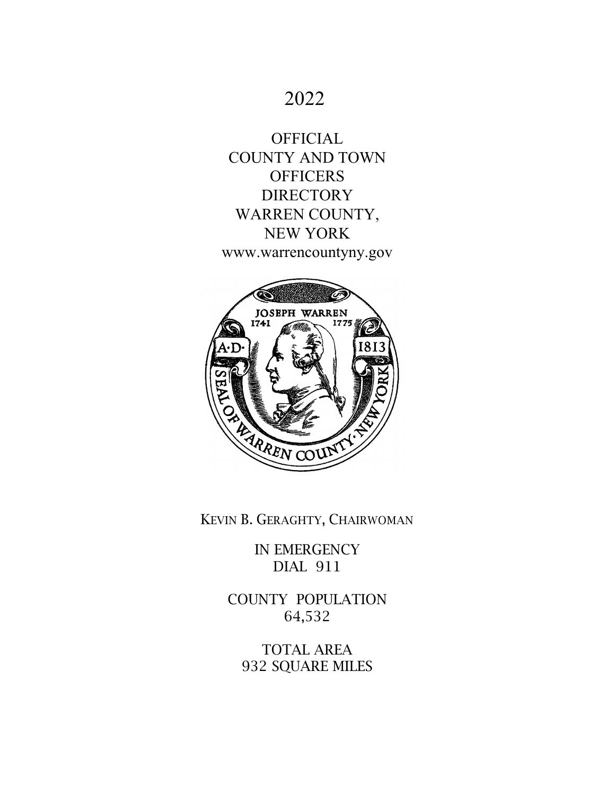# 2022

**OFFICIAL** COUNTY AND TOWN **OFFICERS DIRECTORY** WARREN COUNTY, NEW YORK www.warrencountyny.gov



KEVIN B. GERAGHTY, CHAIRWOMAN

IN EMERGENCY DIAL 911

COUNTY POPULATION 64,532

TOTAL AREA 932 SQUARE MILES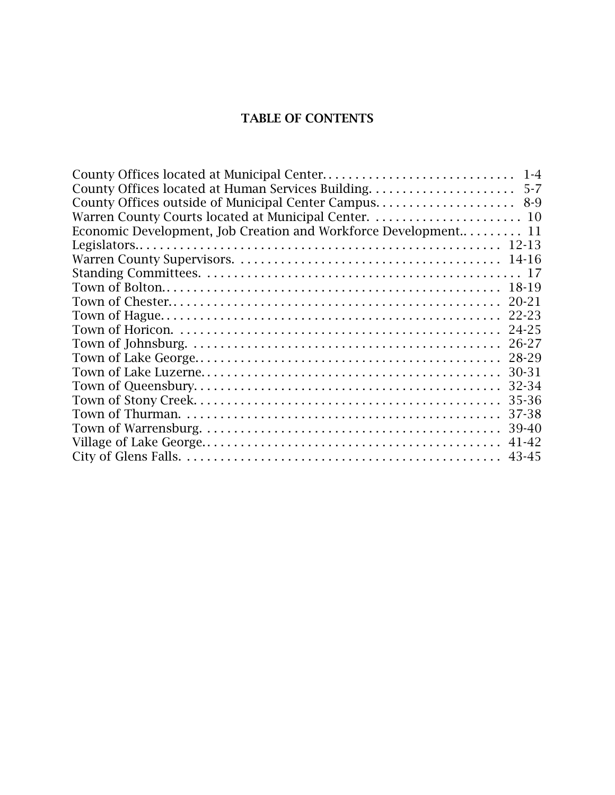## TABLE OF CONTENTS

| County Offices located at Municipal Center                      | $1 - 4$   |
|-----------------------------------------------------------------|-----------|
| County Offices located at Human Services Building               | $5 - 7$   |
| County Offices outside of Municipal Center Campus               | $8-9$     |
|                                                                 |           |
| Economic Development, Job Creation and Workforce Development 11 |           |
|                                                                 |           |
|                                                                 |           |
|                                                                 |           |
|                                                                 | 18-19     |
|                                                                 | $20 - 21$ |
|                                                                 | 22-23     |
|                                                                 | 24-25     |
|                                                                 | 26-27     |
|                                                                 | 28-29     |
|                                                                 | 30-31     |
|                                                                 | 32-34     |
|                                                                 | 35-36     |
|                                                                 | 37-38     |
|                                                                 | 39-40     |
|                                                                 | 41-42     |
|                                                                 | 43-45     |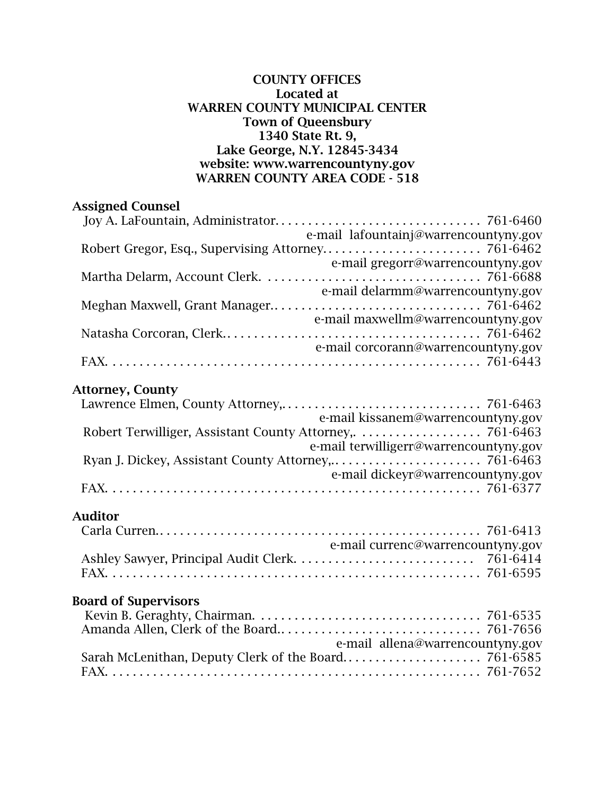### COUNTY OFFICES Located at WARREN COUNTY MUNICIPAL CENTER Town of Queensbury 1340 State Rt. 9, Lake George, N.Y. 12845-3434 website: www.warrencountyny.gov WARREN COUNTY AREA CODE - 518

## Assigned Counsel

| e-mail lafountainj@warrencountyny.gov |
|---------------------------------------|
|                                       |
| e-mail gregorr@warrencountyny.gov     |
|                                       |
| e-mail delarmm@warrencountyny.gov     |
|                                       |
| e-mail maxwellm@warrencountyny.gov    |
|                                       |
| e-mail corcorann@warrencountyny.gov   |
|                                       |

## Attorney, County

| e-mail kissanem@warrencountyny.gov     |
|----------------------------------------|
|                                        |
| e-mail terwilligerr@warrencountyny.gov |
|                                        |
| e-mail dickeyr@warrencountyny.gov      |
|                                        |

## Auditor

| e-mail currenc@warrencountyny.gov |  |
|-----------------------------------|--|
|                                   |  |
|                                   |  |

## Board of Supervisors

| e-mail allena@warrencountyny.gov |  |
|----------------------------------|--|
|                                  |  |
|                                  |  |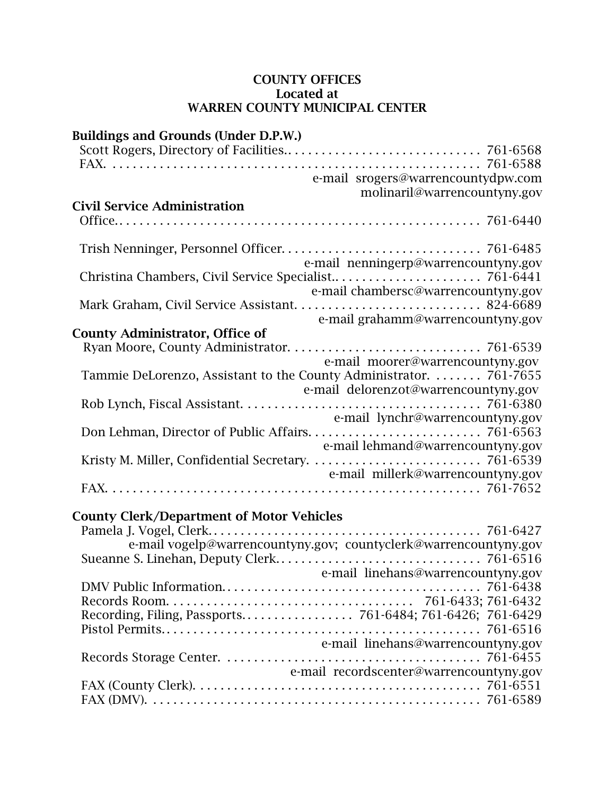### COUNTY OFFICES Located at WARREN COUNTY MUNICIPAL CENTER

| <b>Buildings and Grounds (Under D.P.W.)</b>      |                                                                    |
|--------------------------------------------------|--------------------------------------------------------------------|
|                                                  |                                                                    |
|                                                  |                                                                    |
|                                                  | e-mail srogers@warrencountydpw.com                                 |
|                                                  | molinaril@warrencountyny.gov                                       |
| <b>Civil Service Administration</b>              |                                                                    |
|                                                  |                                                                    |
|                                                  |                                                                    |
|                                                  |                                                                    |
|                                                  | e-mail nenningerp@warrencountyny.gov                               |
|                                                  |                                                                    |
|                                                  |                                                                    |
|                                                  | e-mail chambersc@warrencountyny.gov                                |
|                                                  |                                                                    |
|                                                  | e-mail grahamm@warrencountyny.gov                                  |
| <b>County Administrator, Office of</b>           |                                                                    |
|                                                  |                                                                    |
|                                                  | e-mail moorer@warrencountyny.gov                                   |
|                                                  | Tammie DeLorenzo, Assistant to the County Administrator.  761-7655 |
|                                                  | e-mail delorenzot@warrencountyny.gov                               |
|                                                  |                                                                    |
|                                                  | e-mail lynchr@warrencountyny.gov                                   |
|                                                  |                                                                    |
|                                                  | e-mail lehmand@warrencountyny.gov                                  |
|                                                  |                                                                    |
|                                                  | e-mail millerk@warrencountyny.gov                                  |
|                                                  |                                                                    |
|                                                  |                                                                    |
|                                                  |                                                                    |
| <b>County Clerk/Department of Motor Vehicles</b> |                                                                    |
|                                                  |                                                                    |
|                                                  | e-mail vogelp@warrencountyny.gov; countyclerk@warrencountyny.gov   |
|                                                  |                                                                    |
|                                                  | e-mail linehans@warrencountyny.gov                                 |
|                                                  |                                                                    |
|                                                  |                                                                    |
|                                                  |                                                                    |
|                                                  |                                                                    |
|                                                  | e-mail linehans@warrencountyny.gov                                 |
|                                                  |                                                                    |
|                                                  | e-mail recordscenter@warrencountyny.gov                            |
|                                                  |                                                                    |
|                                                  |                                                                    |
|                                                  |                                                                    |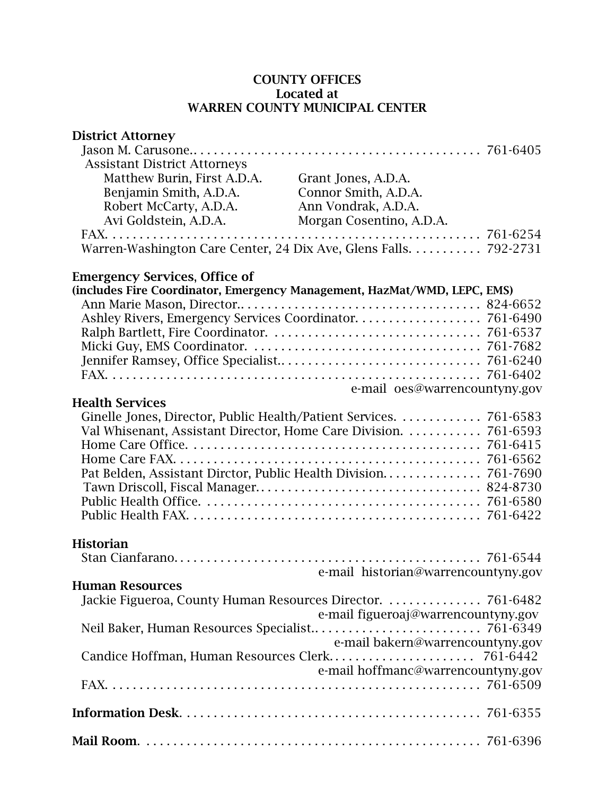### COUNTY OFFICES Located at WARREN COUNTY MUNICIPAL CENTER

| <b>District Attorney</b>                                                 |                                     |  |
|--------------------------------------------------------------------------|-------------------------------------|--|
| <b>Assistant District Attorneys</b>                                      |                                     |  |
| Matthew Burin, First A.D.A.                                              | Grant Jones, A.D.A.                 |  |
| Benjamin Smith, A.D.A.                                                   | Connor Smith, A.D.A.                |  |
| Robert McCarty, A.D.A.                                                   | Ann Vondrak, A.D.A.                 |  |
| Avi Goldstein, A.D.A.                                                    | Morgan Cosentino, A.D.A.            |  |
| Warren-Washington Care Center, 24 Dix Ave, Glens Falls. 792-2731         |                                     |  |
| <b>Emergency Services, Office of</b>                                     |                                     |  |
| (includes Fire Coordinator, Emergency Management, HazMat/WMD, LEPC, EMS) |                                     |  |
|                                                                          |                                     |  |
|                                                                          |                                     |  |
|                                                                          |                                     |  |
|                                                                          |                                     |  |
|                                                                          |                                     |  |
|                                                                          | e-mail oes@warrencountyny.gov       |  |
| <b>Health Services</b>                                                   |                                     |  |
|                                                                          |                                     |  |
| Val Whisenant, Assistant Director, Home Care Division. 761-6593          |                                     |  |
|                                                                          |                                     |  |
|                                                                          |                                     |  |
|                                                                          |                                     |  |
|                                                                          |                                     |  |
|                                                                          |                                     |  |
|                                                                          |                                     |  |
| <b>Historian</b>                                                         |                                     |  |
|                                                                          |                                     |  |
|                                                                          | e-mail historian@warrencountyny.gov |  |
| <b>Human Resources</b>                                                   |                                     |  |
| Jackie Figueroa, County Human Resources Director.  761-6482              |                                     |  |
|                                                                          | e-mail figueroaj@warrencountyny.gov |  |
|                                                                          | e-mail bakern@warrencountyny.gov    |  |
|                                                                          |                                     |  |
|                                                                          | e-mail hoffmanc@warrencountyny.gov  |  |
|                                                                          |                                     |  |
|                                                                          |                                     |  |
|                                                                          |                                     |  |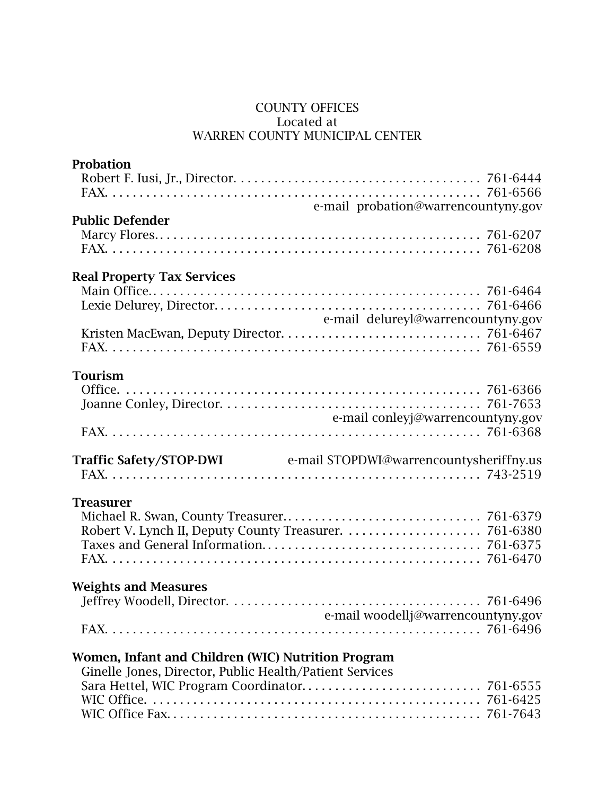### COUNTY OFFICES Located at WARREN COUNTY MUNICIPAL CENTER

| <b>Probation</b>                                                |  |
|-----------------------------------------------------------------|--|
|                                                                 |  |
|                                                                 |  |
| e-mail probation@warrencountyny.gov                             |  |
| <b>Public Defender</b>                                          |  |
|                                                                 |  |
|                                                                 |  |
|                                                                 |  |
| <b>Real Property Tax Services</b>                               |  |
|                                                                 |  |
| e-mail delureyl@warrencountyny.gov                              |  |
|                                                                 |  |
|                                                                 |  |
|                                                                 |  |
| <b>Tourism</b>                                                  |  |
|                                                                 |  |
|                                                                 |  |
| e-mail conleyj@warrencountyny.gov                               |  |
|                                                                 |  |
|                                                                 |  |
| Traffic Safety/STOP-DWI e-mail STOPDWI@warrencountysheriffny.us |  |
|                                                                 |  |
|                                                                 |  |
| <b>Treasurer</b>                                                |  |
|                                                                 |  |
|                                                                 |  |
|                                                                 |  |
|                                                                 |  |
| <b>Weights and Measures</b>                                     |  |
|                                                                 |  |
| e-mail woodellj@warrencountyny.gov                              |  |
|                                                                 |  |
|                                                                 |  |
| Women, Infant and Children (WIC) Nutrition Program              |  |
| Ginelle Jones, Director, Public Health/Patient Services         |  |
|                                                                 |  |
|                                                                 |  |
|                                                                 |  |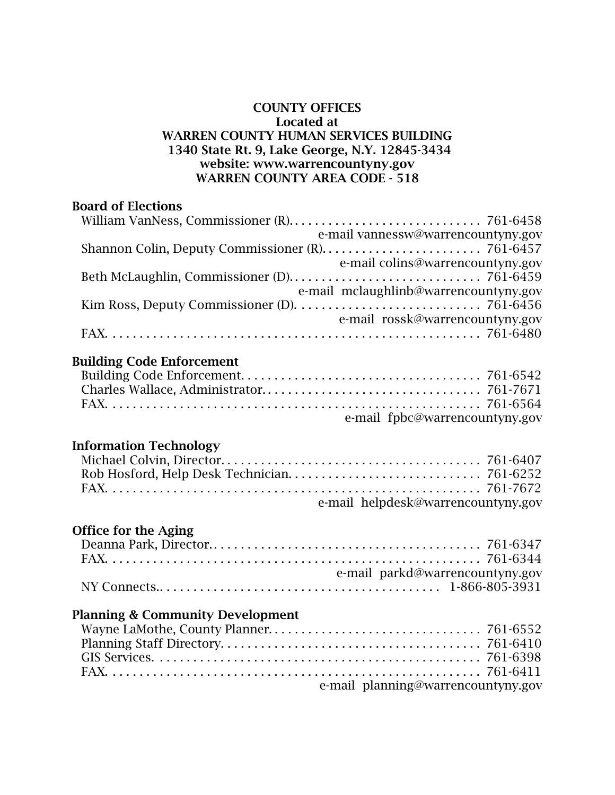#### COUNTY OFFICES Located at WARREN COUNTY HUMAN SERVICES BUILDING 1340 State Rt. 9, Lake George, N.Y. 12845-3434 website: www.warrencountyny.gov WARREN COUNTY AREA CODE - 518

### Board of Elections

| e-mail vannessw@warrencountyny.gov    |
|---------------------------------------|
|                                       |
| e-mail colins@warrencountyny.gov      |
|                                       |
| e-mail mclaughlinb@warrencountyny.gov |
|                                       |
| e-mail rossk@warrencountyny.gov       |
|                                       |

## Building Code Enforcement

| e-mail fpbc@warrencountyny.gov |  |
|--------------------------------|--|

## Information Technology

| e-mail helpdesk@warrencountyny.gov |  |
|------------------------------------|--|

### Office for the Aging

| e-mail parkd@warrencountyny.gov |  |
|---------------------------------|--|
|                                 |  |

## Planning & Community Development

| e-mail planning@warrencountyny.gov |  |
|------------------------------------|--|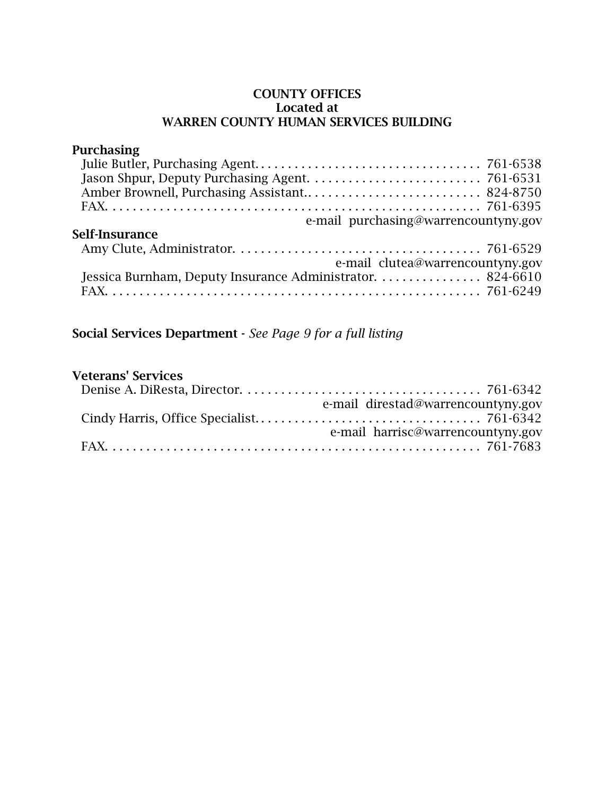#### COUNTY OFFICES Located at WARREN COUNTY HUMAN SERVICES BUILDING

### Purchasing Julie Butler, Purchasing Agent. . . . . . . . . . . . . . . . . . . . . . . . . . . . . . . . . . 761-6538 Jason Shpur, Deputy Purchasing Agent. . . . . . . . . . . . . . . . . . . . . . . . . . 761-6531 Amber Brownell, Purchasing Assistant.. . . . . . . . . . . . . . . . . . . . . . . . . . 824-8750 FAX. . . . . . . . . . . . . . . . . . . . . . . . . . . . . . . . . . . . . . . . . . . . . . . . . . . . . . . . 761-6395 e-mail purchasing@warrencountyny.gov Self-Insurance Amy Clute, Administrator. . . . . . . . . . . . . . . . . . . . . . . . . . . . . . . . . . . . . 761-6529 e-mail clutea@warrencountyny.gov Jessica Burnham, Deputy Insurance Administrator. . . . . . . . . . . . . . . . 824-6610 FAX. . . . . . . . . . . . . . . . . . . . . . . . . . . . . . . . . . . . . . . . . . . . . . . . . . . . . . . . 761-6249

## Social Services Department - *See Page 9 for a full listing*

#### Veterans' Services

| e-mail direstad@warrencountyny.gov |
|------------------------------------|
|                                    |
| e-mail harrisc@warrencountyny.gov  |
|                                    |
|                                    |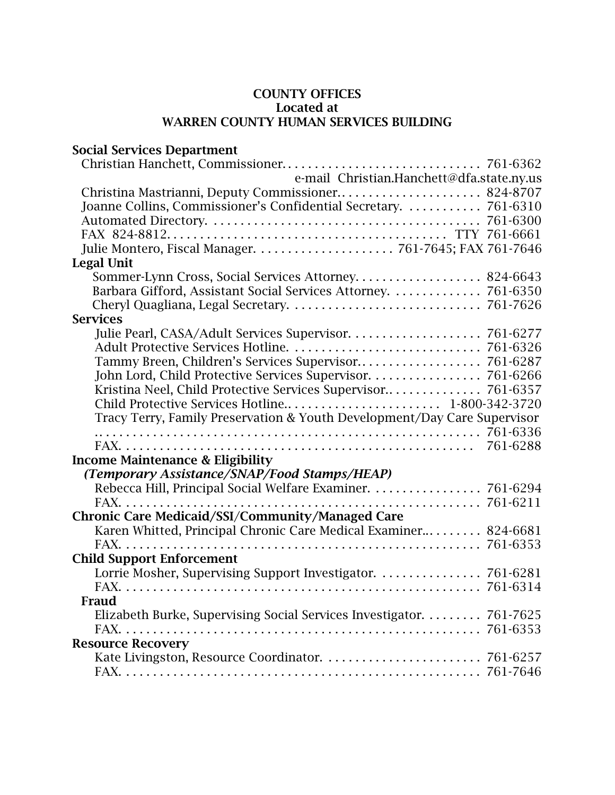## COUNTY OFFICES Located at WARREN COUNTY HUMAN SERVICES BUILDING

| <b>Social Services Department</b>                                        |          |
|--------------------------------------------------------------------------|----------|
|                                                                          |          |
| e-mail Christian.Hanchett@dfa.state.ny.us                                |          |
|                                                                          |          |
| Joanne Collins, Commissioner's Confidential Secretary.  761-6310         |          |
|                                                                          |          |
|                                                                          |          |
|                                                                          |          |
| <b>Legal Unit</b>                                                        |          |
| Sommer-Lynn Cross, Social Services Attorney 824-6643                     |          |
|                                                                          |          |
|                                                                          |          |
| <b>Services</b>                                                          |          |
|                                                                          |          |
|                                                                          |          |
|                                                                          |          |
|                                                                          |          |
|                                                                          |          |
| Child Protective Services Hotline 1-800-342-3720                         |          |
| Tracy Terry, Family Preservation & Youth Development/Day Care Supervisor |          |
|                                                                          |          |
|                                                                          | 761-6288 |
| <b>Income Maintenance &amp; Eligibility</b>                              |          |
| (Temporary Assistance/SNAP/Food Stamps/HEAP)                             |          |
| Rebecca Hill, Principal Social Welfare Examiner. 761-6294                |          |
|                                                                          |          |
| <b>Chronic Care Medicaid/SSI/Community/Managed Care</b>                  |          |
| Karen Whitted, Principal Chronic Care Medical Examiner 824-6681          |          |
|                                                                          |          |
| <b>Child Support Enforcement</b>                                         |          |
| Lorrie Mosher, Supervising Support Investigator. 761-6281                |          |
|                                                                          |          |
| <b>Fraud</b>                                                             |          |
| Elizabeth Burke, Supervising Social Services Investigator. 761-7625      |          |
|                                                                          |          |
| <b>Resource Recovery</b>                                                 |          |
|                                                                          |          |
|                                                                          |          |
|                                                                          |          |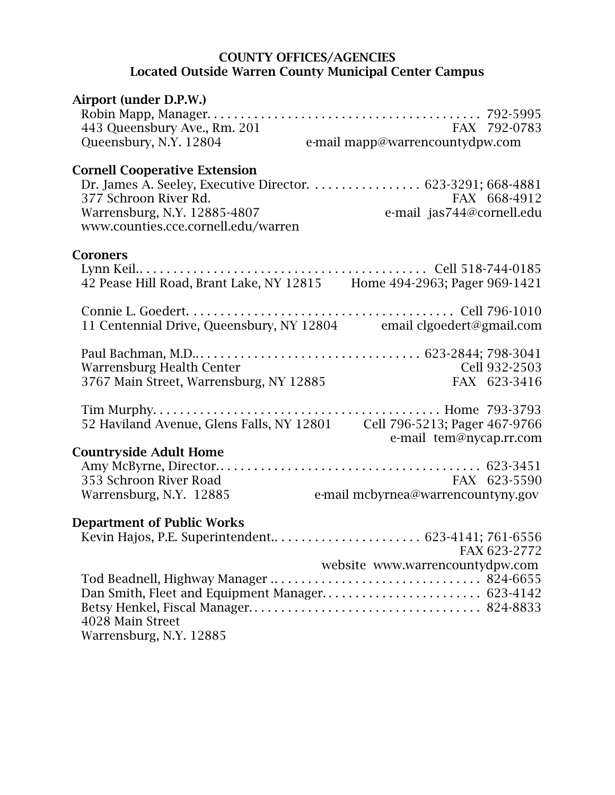#### COUNTY OFFICES/AGENCIES Located Outside Warren County Municipal Center Campus

| Airport (under D.P.W.)                                                                       |                                                 |               |
|----------------------------------------------------------------------------------------------|-------------------------------------------------|---------------|
| 443 Queensbury Ave., Rm. 201<br>Queensbury, N.Y. 12804                                       | FAX 792-0783<br>e-mail mapp@warrencountydpw.com |               |
| <b>Cornell Cooperative Extension</b>                                                         |                                                 |               |
| Dr. James A. Seeley, Executive Director. 623-3291; 668-4881                                  |                                                 |               |
| 377 Schroon River Rd.<br>Warrensburg, N.Y. 12885-4807<br>www.counties.cce.cornell.edu/warren | e-mail jas744@cornell.edu                       | FAX 668-4912  |
| <b>Coroners</b>                                                                              |                                                 |               |
| 42 Pease Hill Road, Brant Lake, NY 12815 Home 494-2963; Pager 969-1421                       |                                                 |               |
|                                                                                              |                                                 |               |
| 11 Centennial Drive, Queensbury, NY 12804 email clgoedert@gmail.com                          |                                                 |               |
|                                                                                              |                                                 |               |
| Warrensburg Health Center                                                                    |                                                 | Cell 932-2503 |
| 3767 Main Street, Warrensburg, NY 12885                                                      |                                                 | FAX 623-3416  |
|                                                                                              |                                                 |               |
| 52 Haviland Avenue, Glens Falls, NY 12801    Cell 796-5213; Pager 467-9766                   |                                                 |               |
| <b>Countryside Adult Home</b>                                                                | e-mail tem@nycap.rr.com                         |               |
|                                                                                              |                                                 |               |
| 353 Schroon River Road                                                                       | FAX 623-5590                                    |               |
| Warrensburg, N.Y. 12885                                                                      | e-mail mcbyrnea@warrencountyny.gov              |               |
| <b>Department of Public Works</b>                                                            |                                                 |               |
|                                                                                              |                                                 |               |
|                                                                                              | website www.warrencountydpw.com                 | FAX 623-2772  |
|                                                                                              |                                                 |               |
|                                                                                              |                                                 |               |
| 4028 Main Street                                                                             |                                                 |               |
| Warrensburg, N.Y. 12885                                                                      |                                                 |               |
|                                                                                              |                                                 |               |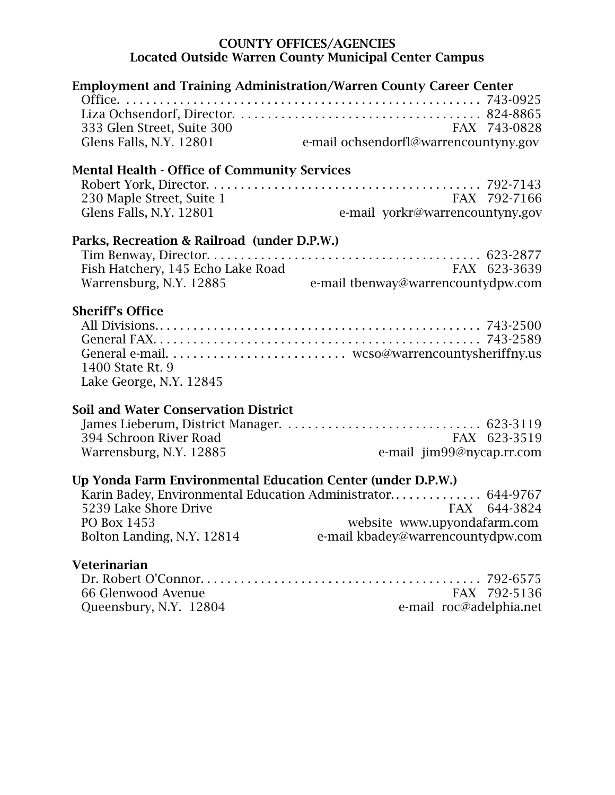#### COUNTY OFFICES/AGENCIES Located Outside Warren County Municipal Center Campus

| <b>Employment and Training Administration/Warren County Career Center</b> |                                                             |
|---------------------------------------------------------------------------|-------------------------------------------------------------|
|                                                                           |                                                             |
| 333 Glen Street, Suite 300                                                | FAX 743-0828                                                |
| Glens Falls, N.Y. 12801                                                   | FAX 743-0828<br>e-mail ochsendorfl@warrencountyny.gov       |
|                                                                           |                                                             |
| <b>Mental Health - Office of Community Services</b>                       |                                                             |
|                                                                           |                                                             |
| 230 Maple Street, Suite 1                                                 | FAX 792-7166                                                |
| Glens Falls, N.Y. 12801                                                   | e-mail yorkr@warrencountyny.gov                             |
| Parks, Recreation & Railroad (under D.P.W.)                               |                                                             |
|                                                                           |                                                             |
| Fish Hatchery, 145 Echo Lake Road                                         | FAX 623-3639                                                |
| Warrensburg, N.Y. 12885                                                   | e-mail tbenway@warrencountydpw.com                          |
|                                                                           |                                                             |
| <b>Sheriff's Office</b>                                                   |                                                             |
|                                                                           |                                                             |
|                                                                           |                                                             |
|                                                                           |                                                             |
| 1400 State Rt. 9                                                          |                                                             |
| Lake George, N.Y. 12845                                                   |                                                             |
| <b>Soil and Water Conservation District</b>                               |                                                             |
|                                                                           |                                                             |
| 394 Schroon River Road                                                    | FAX 623-3519                                                |
| Warrensburg, N.Y. 12885                                                   | e-mail jim99@nycap.rr.com                                   |
|                                                                           |                                                             |
| Up Yonda Farm Environmental Education Center (under D.P.W.)               |                                                             |
|                                                                           | Karin Badey, Environmental Education Administrator 644-9767 |
| 5239 Lake Shore Drive                                                     | FAX 644-3824                                                |
| PO Box 1453                                                               | website www.upyondafarm.com                                 |
| Bolton Landing, N.Y. 12814                                                | e-mail kbadey@warrencountydpw.com                           |
| <b>Veterinarian</b>                                                       |                                                             |
|                                                                           |                                                             |
| 66 Glenwood Avenue                                                        | FAX 792-5136                                                |

Queensbury, N.Y. 12804 e-mail roc@adelphia.net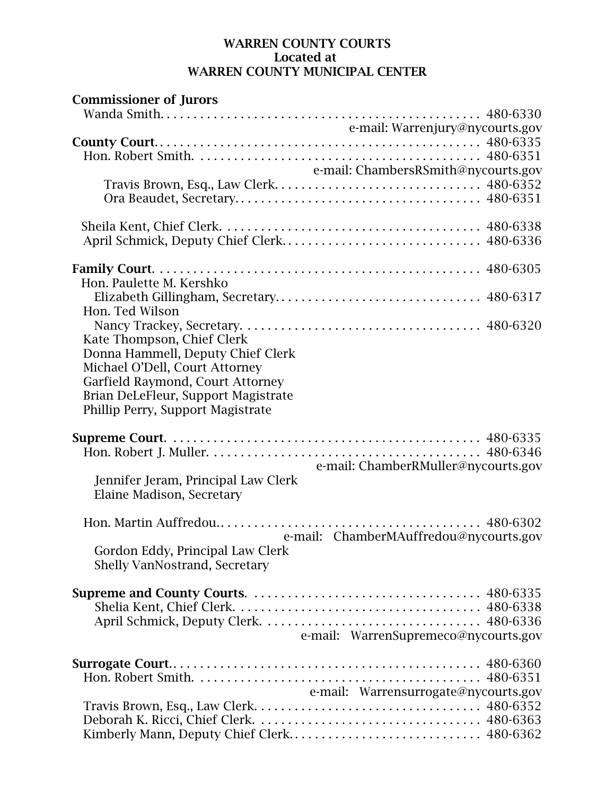#### WARREN COUNTY COURTS Located at WARREN COUNTY MUNICIPAL CENTER

| <b>Commissioner of Jurors</b>              |  |
|--------------------------------------------|--|
|                                            |  |
| e-mail: Warrenjury@nycourts.gov            |  |
|                                            |  |
|                                            |  |
| e-mail: ChambersRSmith@nycourts.gov        |  |
|                                            |  |
|                                            |  |
|                                            |  |
|                                            |  |
| April Schmick, Deputy Chief Clerk 480-6336 |  |
|                                            |  |
|                                            |  |
| Hon. Paulette M. Kershko                   |  |
|                                            |  |
| Hon. Ted Wilson                            |  |
|                                            |  |
|                                            |  |
| Kate Thompson, Chief Clerk                 |  |
| Donna Hammell, Deputy Chief Clerk          |  |
| Michael O'Dell, Court Attorney             |  |
| Garfield Raymond, Court Attorney           |  |
| Brian DeLeFleur, Support Magistrate        |  |
| Phillip Perry, Support Magistrate          |  |
|                                            |  |
|                                            |  |
|                                            |  |
| e-mail: ChamberRMuller@nycourts.gov        |  |
| Jennifer Jeram, Principal Law Clerk        |  |
| Elaine Madison, Secretary                  |  |
|                                            |  |
|                                            |  |
| e-mail: ChamberMAuffredou@nycourts.gov     |  |
| Gordon Eddy, Principal Law Clerk           |  |
| Shelly VanNostrand, Secretary              |  |
|                                            |  |
|                                            |  |
|                                            |  |
|                                            |  |
|                                            |  |
| e-mail: WarrenSupremeco@nycourts.gov       |  |
|                                            |  |
|                                            |  |
|                                            |  |
| e-mail: Warrensurrogate@nycourts.gov       |  |
|                                            |  |
|                                            |  |
| Kimberly Mann, Deputy Chief Clerk 480-6362 |  |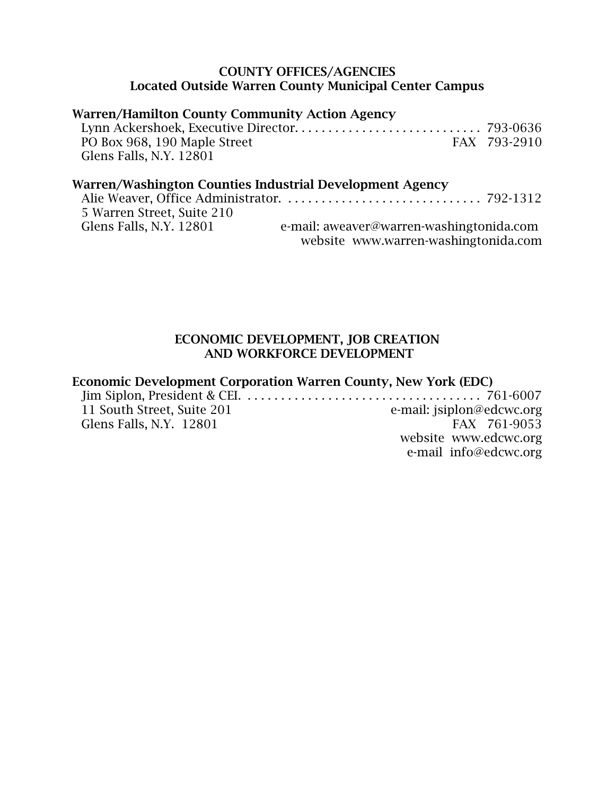### COUNTY OFFICES/AGENCIES Located Outside Warren County Municipal Center Campus

## Warren/Hamilton County Community Action Agency

| PO Box 968, 190 Maple Street | FAX 793-2910 |
|------------------------------|--------------|
| Glens Falls, N.Y. 12801      |              |

## Warren/Washington Counties Industrial Development Agency

| 5 Warren Street, Suite 210 |                                          |
|----------------------------|------------------------------------------|
| Glens Falls, N.Y. 12801    | e-mail: aweaver@warren-washingtonida.com |
|                            | website www.warren-washingtonida.com     |

#### ECONOMIC DEVELOPMENT, JOB CREATION AND WORKFORCE DEVELOPMENT

## Economic Development Corporation Warren County, New York (EDC)

| 11 South Street, Suite 201 | e-mail: jsiplon@edcwc.org |
|----------------------------|---------------------------|
| Glens Falls, N.Y. 12801    | FAX 761-9053              |
|                            | website www.edcwc.org     |
|                            | e-mail info@edcwc.org     |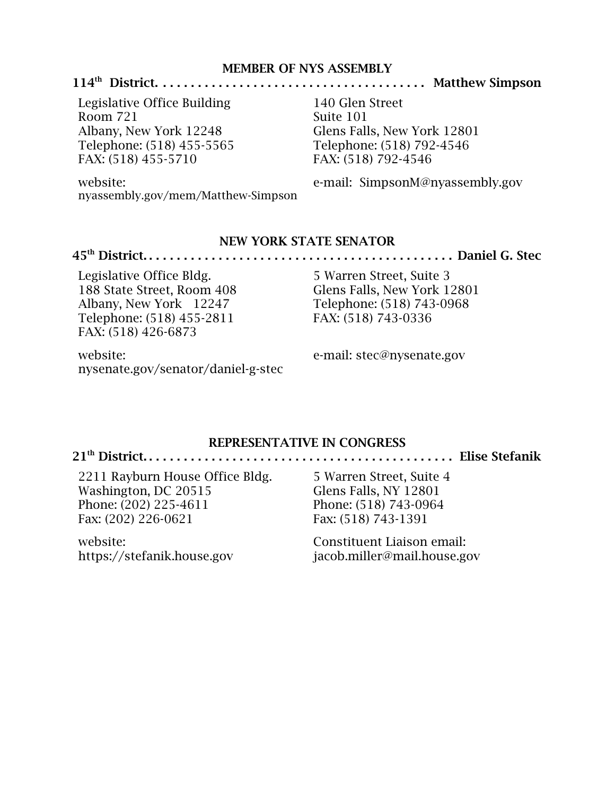#### MEMBER OF NYS ASSEMBLY

#### 114th District. . . . . . . . . . . . . . . . . . . . . . . . . . . . . . . . . . . . . . . Matthew Simpson

Legislative Office Building Room 721 Albany, New York 12248 Telephone: (518) 455-5565 FAX: (518) 455-5710

140 Glen Street Suite 101 Glens Falls, New York 12801 Telephone: (518) 792-4546 FAX: (518) 792-4546

website:

nyassembly.gov/mem/Matthew-Simpson

e-mail: SimpsonM@nyassembly.gov

#### NEW YORK STATE SENATOR

#### 45th District. . . . . . . . . . . . . . . . . . . . . . . . . . . . . . . . . . . . . . . . . . . . . Daniel G. Stec

Legislative Office Bldg. 188 State Street, Room 408 Albany, New York 12247 Telephone: (518) 455-2811 FAX: (518) 426-6873

5 Warren Street, Suite 3 Glens Falls, New York 12801 Telephone: (518) 743-0968 FAX: (518) 743-0336

website: nysenate.gov/senator/daniel-g-stec e-mail: stec@nysenate.gov

#### REPRESENTATIVE IN CONGRESS

21th District. . . . . . . . . . . . . . . . . . . . . . . . . . . . . . . . . . . . . . . . . . . . . Elise Stefanik

2211 Rayburn House Office Bldg. Washington, DC 20515 Phone: (202) 225-4611 Fax: (202) 226-0621

website: https://stefanik.house.gov 5 Warren Street, Suite 4 Glens Falls, NY 12801 Phone: (518) 743-0964 Fax: (518) 743-1391

Constituent Liaison email: jacob.miller@mail.house.gov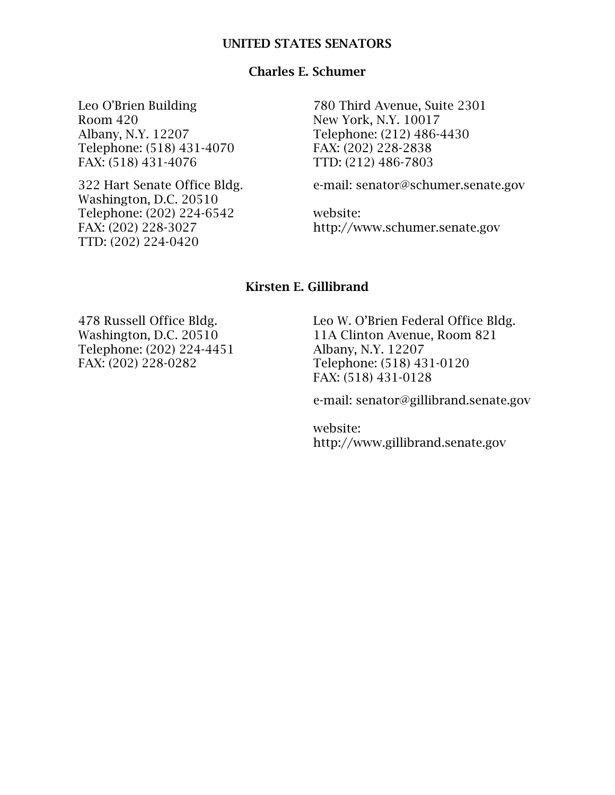#### UNITED STATES SENATORS

### Charles E. Schumer

Leo O'Brien Building Room 420 Albany, N.Y. 12207 Telephone: (518) 431-4070 FAX: (518) 431-4076

322 Hart Senate Office Bldg. Washington, D.C. 20510 Telephone: (202) 224-6542 FAX: (202) 228-3027 TTD: (202) 224-0420

780 Third Avenue, Suite 2301 New York, N.Y. 10017 Telephone: (212) 486-4430 FAX: (202) 228-2838 TTD: (212) 486-7803

e-mail: senator@schumer.senate.gov

website: http://www.schumer.senate.gov

#### Kirsten E. Gillibrand

478 Russell Office Bldg. Washington, D.C. 20510 Telephone: (202) 224-4451 FAX: (202) 228-0282

Leo W. O'Brien Federal Office Bldg. 11A Clinton Avenue, Room 821 Albany, N.Y. 12207 Telephone: (518) 431-0120 FAX: (518) 431-0128

e-mail: senator@gillibrand.senate.gov

website: http://www.gillibrand.senate.gov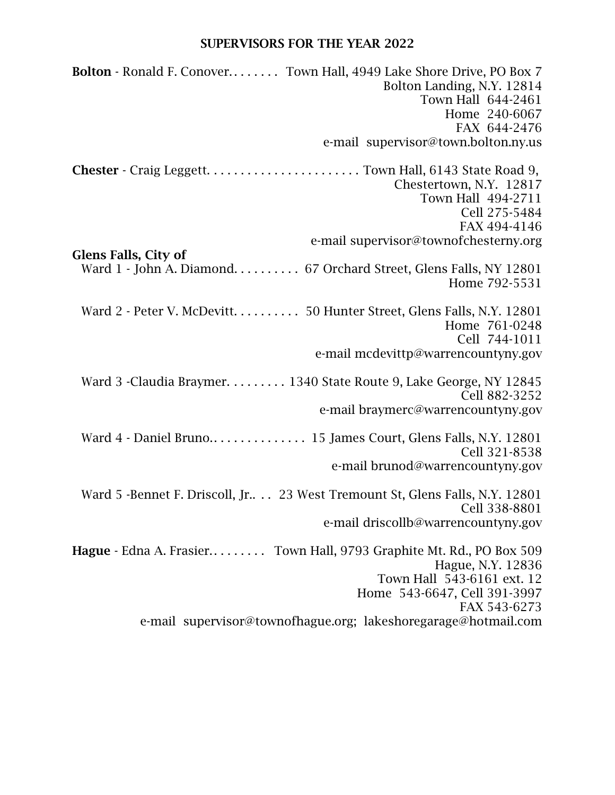## SUPERVISORS FOR THE YEAR 2022

| <b>Bolton</b> - Ronald F. Conover Town Hall, 4949 Lake Shore Drive, PO Box 7<br>Bolton Landing, N.Y. 12814<br>Town Hall 644-2461 |
|----------------------------------------------------------------------------------------------------------------------------------|
| Home 240-6067                                                                                                                    |
| FAX 644-2476                                                                                                                     |
| e-mail supervisor@town.bolton.ny.us                                                                                              |
|                                                                                                                                  |
| Chestertown, N.Y. 12817                                                                                                          |
| Town Hall 494-2711                                                                                                               |
| Cell 275-5484                                                                                                                    |
| FAX 494-4146<br>e-mail supervisor@townofchesterny.org                                                                            |
| <b>Glens Falls, City of</b>                                                                                                      |
| Ward 1 - John A. Diamond. 67 Orchard Street, Glens Falls, NY 12801                                                               |
| Home 792-5531                                                                                                                    |
|                                                                                                                                  |
| Ward 2 - Peter V. McDevitt. 50 Hunter Street, Glens Falls, N.Y. 12801                                                            |
| Home 761-0248                                                                                                                    |
| Cell 744-1011                                                                                                                    |
| e-mail mcdevittp@warrencountyny.gov                                                                                              |
| Ward 3 - Claudia Braymer. 1340 State Route 9, Lake George, NY 12845                                                              |
| Cell 882-3252                                                                                                                    |
| e-mail braymerc@warrencountyny.gov                                                                                               |
|                                                                                                                                  |
| Cell 321-8538                                                                                                                    |
| e-mail brunod@warrencountyny.gov                                                                                                 |
| Ward 5 -Bennet F. Driscoll, Jr 23 West Tremount St, Glens Falls, N.Y. 12801                                                      |
| Cell 338-8801                                                                                                                    |
| e-mail driscollb@warrencountyny.gov                                                                                              |
| Hague - Edna A. Frasier Town Hall, 9793 Graphite Mt. Rd., PO Box 509                                                             |
| Hague, N.Y. 12836                                                                                                                |
| Town Hall 543-6161 ext. 12                                                                                                       |
| Home 543-6647, Cell 391-3997                                                                                                     |
| FAX 543-6273                                                                                                                     |
| e-mail supervisor@townofhague.org; lakeshoregarage@hotmail.com                                                                   |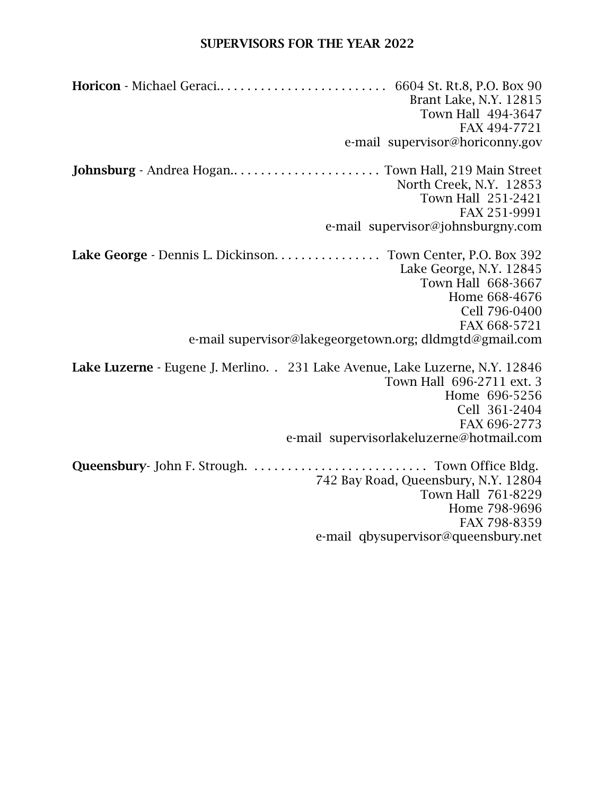#### SUPERVISORS FOR THE YEAR 2022

Horicon - Michael Geraci.. . . . . . . . . . . . . . . . . . . . . . . . . 6604 St. Rt.8, P.O. Box 90 Brant Lake, N.Y. 12815 Town Hall 494-3647 FAX 494-7721 e-mail supervisor@horiconny.gov Johnsburg - Andrea Hogan.. . . . . . . . . . . . . . . . . . . . . . Town Hall, 219 Main Street North Creek, N.Y. 12853 Town Hall 251-2421 FAX 251-9991 e-mail supervisor@johnsburgny.com Lake George - Dennis L. Dickinson. . . . . . . . . . . . . . . Town Center, P.O. Box 392 Lake George, N.Y. 12845 Town Hall 668-3667 Home 668-4676 Cell 796-0400 FAX 668-5721 e-mail supervisor@lakegeorgetown.org; dldmgtd@gmail.com Lake Luzerne - Eugene J. Merlino. . 231 Lake Avenue, Lake Luzerne, N.Y. 12846 Town Hall 696-2711 ext. 3 Home 696-5256 Cell 361-2404 FAX 696-2773 e-mail supervisorlakeluzerne@hotmail.com Queensbury- John F. Strough. . . . . . . . . . . . . . . . . . . . . . . . . . . Town Office Bldg. 742 Bay Road, Queensbury, N.Y. 12804 Town Hall 761-8229 Home 798-9696 FAX 798-8359 e-mail qbysupervisor@queensbury.net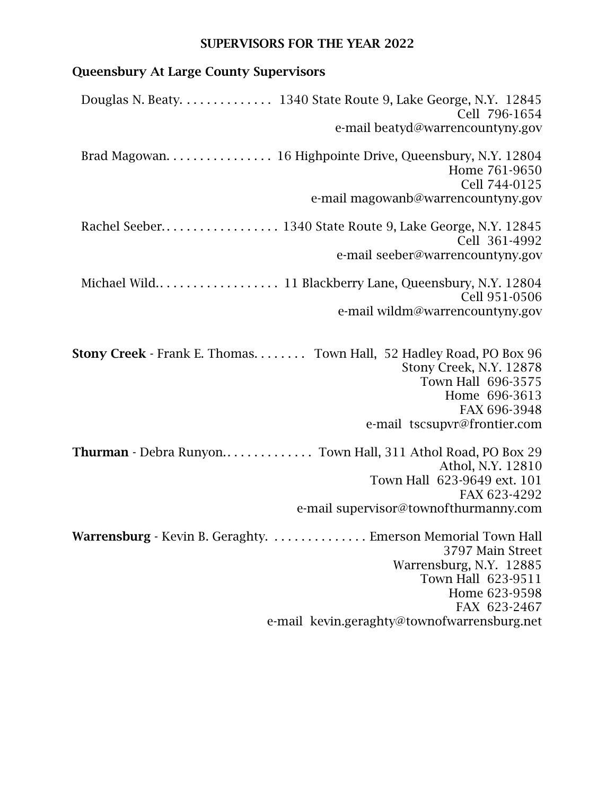## SUPERVISORS FOR THE YEAR 2022

# Queensbury At Large County Supervisors

| Douglas N. Beaty. 1340 State Route 9, Lake George, N.Y. 12845<br>Cell 796-1654<br>e-mail beatyd@warrencountyny.gov                                                                           |
|----------------------------------------------------------------------------------------------------------------------------------------------------------------------------------------------|
| Brad Magowan. 16 Highpointe Drive, Queensbury, N.Y. 12804<br>Home 761-9650                                                                                                                   |
| Cell 744-0125<br>e-mail magowanb@warrencountyny.gov                                                                                                                                          |
| Cell 361-4992<br>e-mail seeber@warrencountyny.gov                                                                                                                                            |
| Cell 951-0506                                                                                                                                                                                |
| e-mail wildm@warrencountyny.gov                                                                                                                                                              |
| <b>Stony Creek</b> - Frank E. Thomas. Town Hall, 52 Hadley Road, PO Box 96<br>Stony Creek, N.Y. 12878<br>Town Hall 696-3575<br>Home 696-3613<br>FAX 696-3948<br>e-mail tscsupvr@frontier.com |
| Thurman - Debra Runyon Town Hall, 311 Athol Road, PO Box 29<br>Athol, N.Y. 12810<br>Town Hall 623-9649 ext. 101                                                                              |
| FAX 623-4292<br>e-mail supervisor@townofthurmanny.com                                                                                                                                        |
| Warrensburg - Kevin B. Geraghty. Emerson Memorial Town Hall<br>3797 Main Street<br>Warrensburg, N.Y. 12885<br>Town Hall 623-9511<br>Home 623-9598<br>FAX 623-2467                            |
| e-mail kevin.geraghty@townofwarrensburg.net                                                                                                                                                  |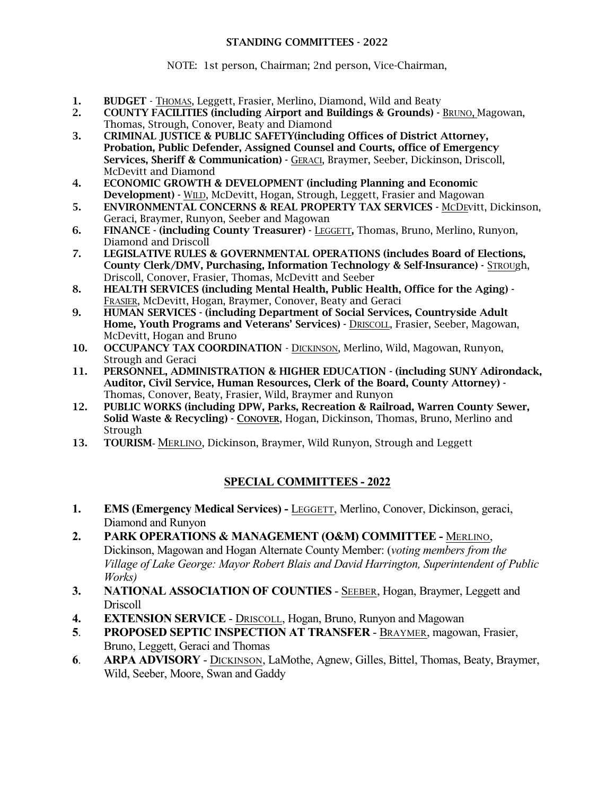#### STANDING COMMITTEES - 2022

NOTE: 1st person, Chairman; 2nd person, Vice-Chairman,

- 1. BUDGET THOMAS, Leggett, Frasier, Merlino, Diamond, Wild and Beaty
- 2. COUNTY FACILITIES (including Airport and Buildings & Grounds) BRUNO, Magowan, Thomas, Strough, Conover, Beaty and Diamond
- 3. CRIMINAL JUSTICE & PUBLIC SAFETY(including Offices of District Attorney, Probation, Public Defender, Assigned Counsel and Courts, office of Emergency Services, Sheriff & Communication) - GERACI, Braymer, Seeber, Dickinson, Driscoll, McDevitt and Diamond
- 4. ECONOMIC GROWTH & DEVELOPMENT (including Planning and Economic Development) - WILD, McDevitt, Hogan, Strough, Leggett, Frasier and Magowan
- 5. ENVIRONMENTAL CONCERNS & REAL PROPERTY TAX SERVICES MCDEvitt, Dickinson, Geraci, Braymer, Runyon, Seeber and Magowan
- 6. FINANCE (including County Treasurer) LEGGETT, Thomas, Bruno, Merlino, Runyon, Diamond and Driscoll
- 7. LEGISLATIVE RULES & GOVERNMENTAL OPERATIONS (includes Board of Elections, County Clerk/DMV, Purchasing, Information Technology & Self-Insurance) - STROUgh, Driscoll, Conover, Frasier, Thomas, McDevitt and Seeber
- 8. HEALTH SERVICES (including Mental Health, Public Health, Office for the Aging) FRASIER, McDevitt, Hogan, Braymer, Conover, Beaty and Geraci
- 9. HUMAN SERVICES (including Department of Social Services, Countryside Adult Home, Youth Programs and Veterans' Services) - DRISCOLL, Frasier, Seeber, Magowan, McDevitt, Hogan and Bruno
- 10. OCCUPANCY TAX COORDINATION DICKINSON, Merlino, Wild, Magowan, Runyon, Strough and Geraci
- 11. PERSONNEL, ADMINISTRATION & HIGHER EDUCATION (including SUNY Adirondack, Auditor, Civil Service, Human Resources, Clerk of the Board, County Attorney) - Thomas, Conover, Beaty, Frasier, Wild, Braymer and Runyon
- 12. PUBLIC WORKS (including DPW, Parks, Recreation & Railroad, Warren County Sewer, Solid Waste & Recycling) - CONOVER, Hogan, Dickinson, Thomas, Bruno, Merlino and Strough
- 13. TOURISM- MERLINO, Dickinson, Braymer, Wild Runyon, Strough and Leggett

### **SPECIAL COMMITTEES - 2022**

- **1. EMS (Emergency Medical Services) -** LEGGETT, Merlino, Conover, Dickinson, geraci, Diamond and Runyon
- **2. PARK OPERATIONS & MANAGEMENT (O&M) COMMITTEE -** MERLINO, Dickinson, Magowan and Hogan Alternate County Member: (*voting members from the Village of Lake George: Mayor Robert Blais and David Harrington, Superintendent of Public Works)*
- **3. NATIONAL ASSOCIATION OF COUNTIES** SEEBER, Hogan, Braymer, Leggett and Driscoll
- **4. EXTENSION SERVICE** DRISCOLL, Hogan, Bruno, Runyon and Magowan
- **5**. **PROPOSED SEPTIC INSPECTION AT TRANSFER** BRAYMER, magowan, Frasier, Bruno, Leggett, Geraci and Thomas
- **6**. **ARPA ADVISORY** DICKINSON, LaMothe, Agnew, Gilles, Bittel, Thomas, Beaty, Braymer, Wild, Seeber, Moore, Swan and Gaddy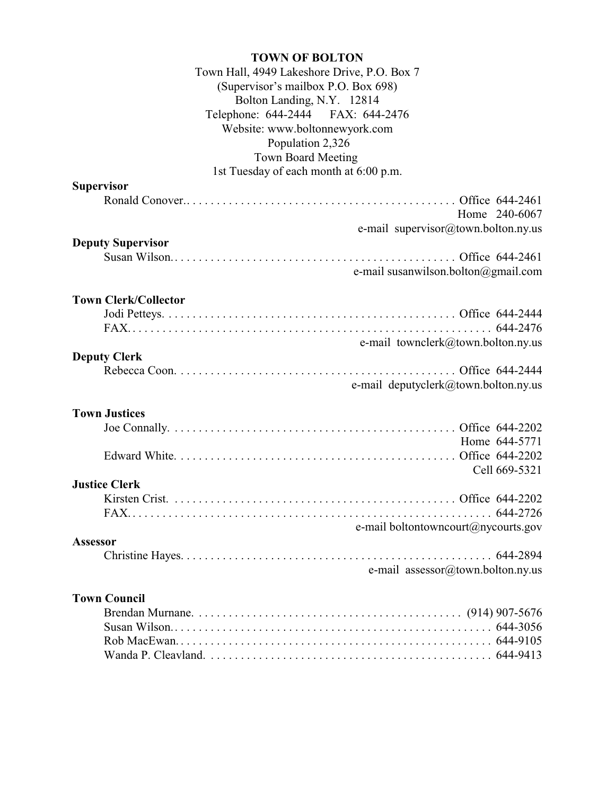| <b>TOWN OF BOLTON</b>                       |
|---------------------------------------------|
| Town Hall, 4949 Lakeshore Drive, P.O. Box 7 |
| (Supervisor's mailbox P.O. Box 698)         |
| Bolton Landing, N.Y. 12814                  |
| Telephone: 644-2444 FAX: 644-2476           |
| Website: www.boltonnewyork.com              |
| Population 2,326                            |
| <b>Town Board Meeting</b>                   |
| 1st Tuesday of each month at 6:00 p.m.      |
| <b>Supervisor</b>                           |
|                                             |
| Home 240-6067                               |
| e-mail supervisor@town.bolton.ny.us         |
| <b>Deputy Supervisor</b>                    |
|                                             |
| e-mail susanwilson.bolton@gmail.com         |
|                                             |
| <b>Town Clerk/Collector</b>                 |
|                                             |
|                                             |
| e-mail townclerk@town.bolton.ny.us          |
| <b>Deputy Clerk</b>                         |
| e-mail deputyclerk@town.bolton.ny.us        |
|                                             |
| <b>Town Justices</b>                        |
|                                             |
| Home 644-5771                               |
|                                             |
| Cell 669-5321                               |
| <b>Justice Clerk</b>                        |
|                                             |
|                                             |
| e-mail boltontowncourt@nycourts.gov         |
| Assessor                                    |
|                                             |
| e-mail assessor@town.bolton.ny.us           |
|                                             |
| <b>Town Council</b>                         |
|                                             |
|                                             |
|                                             |
|                                             |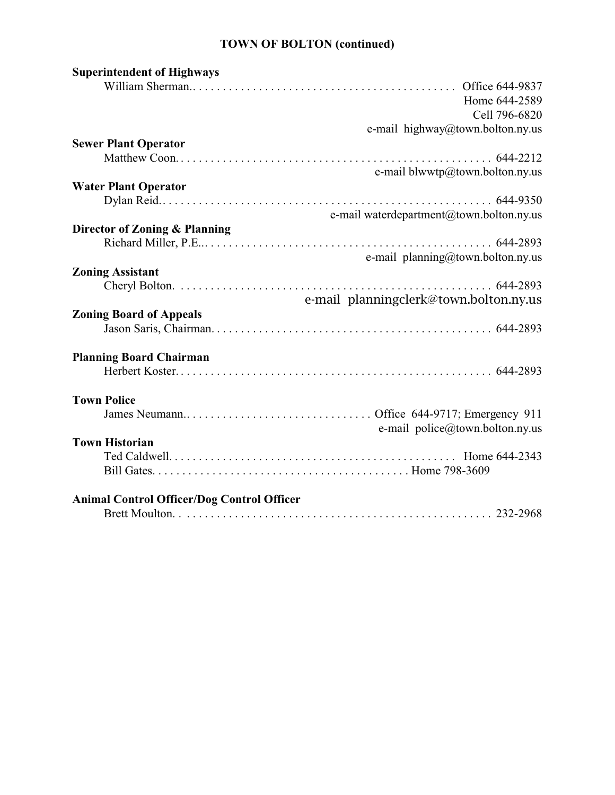## **TOWN OF BOLTON (continued)**

| <b>Superintendent of Highways</b>                 |
|---------------------------------------------------|
| Office 644-9837                                   |
| Home 644-2589                                     |
| Cell 796-6820                                     |
| e-mail highway@town.bolton.ny.us                  |
| <b>Sewer Plant Operator</b>                       |
|                                                   |
|                                                   |
| e-mail blwwtp@town.bolton.ny.us                   |
| <b>Water Plant Operator</b>                       |
|                                                   |
| e-mail waterdepartment@town.bolton.ny.us          |
| Director of Zoning & Planning                     |
|                                                   |
| e-mail planning@town.bolton.ny.us                 |
| <b>Zoning Assistant</b>                           |
|                                                   |
| e-mail planningclerk@town.bolton.ny.us            |
| <b>Zoning Board of Appeals</b>                    |
|                                                   |
|                                                   |
|                                                   |
| <b>Planning Board Chairman</b>                    |
|                                                   |
|                                                   |
| <b>Town Police</b>                                |
|                                                   |
| e-mail police@town.bolton.ny.us                   |
| <b>Town Historian</b>                             |
|                                                   |
|                                                   |
|                                                   |
| <b>Animal Control Officer/Dog Control Officer</b> |
|                                                   |
|                                                   |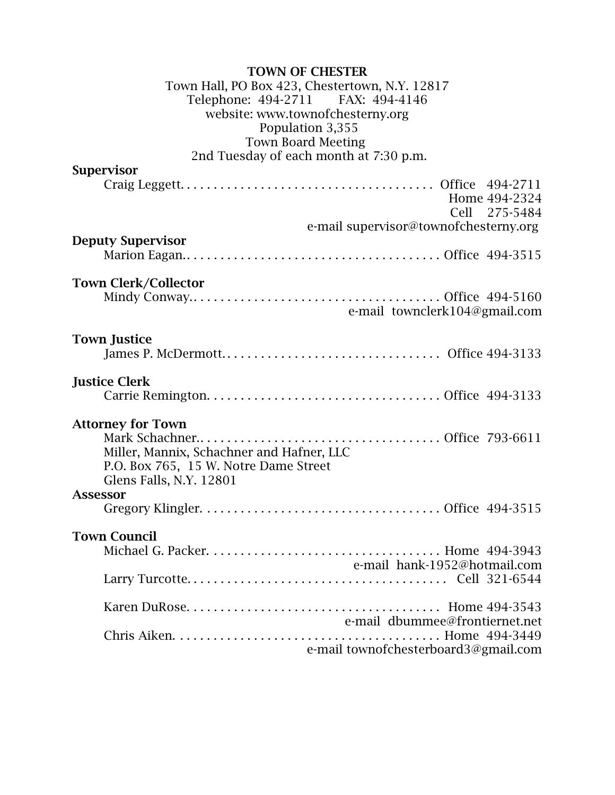#### TOWN OF CHESTER

#### Town Hall, PO Box 423, Chestertown, N.Y. 12817 Telephone: 494-2711 website: www.townofchesterny.org Population 3,355 Town Board Meeting 2nd Tuesday of each month at 7:30 p.m.

## Supervisor Craig Leggett. . . . . . . . . . . . . . . . . . . . . . . . . . . . . . . . . . . . . . Office 494-2711 Home 494-2324 Cell 275-5484 e-mail supervisor@townofchesterny.org Deputy Supervisor Marion Eagan.. . . . . . . . . . . . . . . . . . . . . . . . . . . . . . . . . . . . . . Office 494-3515 Town Clerk/Collector Mindy Conway.. . . . . . . . . . . . . . . . . . . . . . . . . . . . . . . . . . . . . Office 494-5160 e-mail townclerk104@gmail.com Town Justice James P. McDermott. . . . . . . . . . . . . . . . . . . . . . . . . . . . . . . . . Office 494-3133 Justice Clerk Carrie Remington. . . . . . . . . . . . . . . . . . . . . . . . . . . . . . . . . . . Office 494-3133 Attorney for Town Mark Schachner.. . . . . . . . . . . . . . . . . . . . . . . . . . . . . . . . . . . . Office 793-6611 Miller, Mannix, Schachner and Hafner, LLC P.O. Box 765, 15 W. Notre Dame Street Glens Falls, N.Y. 12801 Assessor Gregory Klingler. . . . . . . . . . . . . . . . . . . . . . . . . . . . . . . . . . . . Office 494-3515 Town Council Michael G. Packer. . . . . . . . . . . . . . . . . . . . . . . . . . . . . . . . . . . Home 494-3943 e-mail hank-1952@hotmail.com Larry Turcotte. . . . . . . . . . . . . . . . . . . . . . . . . . . . . . . . . . . . . . . Cell 321-6544 Karen DuRose. . . . . . . . . . . . . . . . . . . . . . . . . . . . . . . . . . . . . . Home 494-3543 e-mail dbummee@frontiernet.net Chris Aiken. . . . . . . . . . . . . . . . . . . . . . . . . . . . . . . . . . . . . . . . Home 494-3449 e-mail townofchesterboard3@gmail.com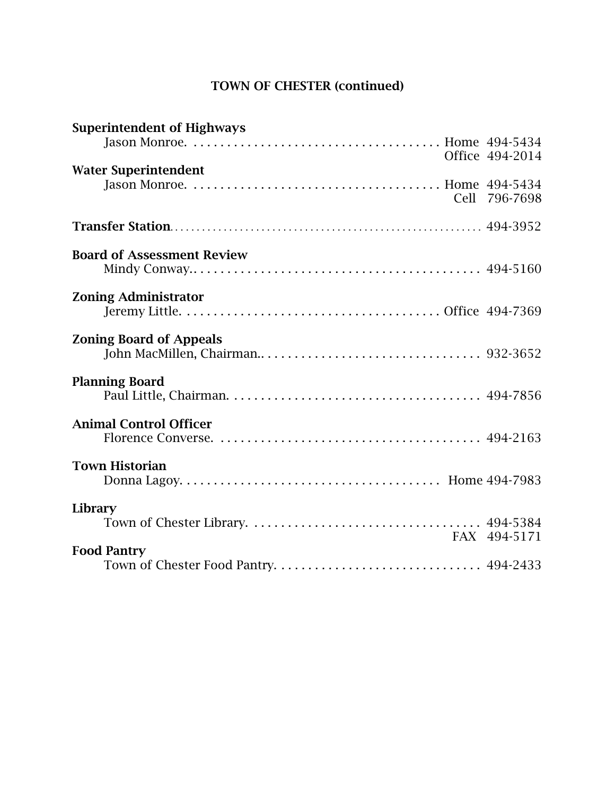# TOWN OF CHESTER (continued)

| <b>Superintendent of Highways</b> | Office 494-2014 |
|-----------------------------------|-----------------|
| <b>Water Superintendent</b>       |                 |
|                                   | Cell 796-7698   |
| <b>Board of Assessment Review</b> |                 |
|                                   |                 |
| <b>Zoning Administrator</b>       |                 |
| <b>Zoning Board of Appeals</b>    |                 |
| <b>Planning Board</b>             |                 |
| <b>Animal Control Officer</b>     |                 |
| <b>Town Historian</b>             |                 |
| Library                           | FAX 494-5171    |
| <b>Food Pantry</b>                |                 |
|                                   |                 |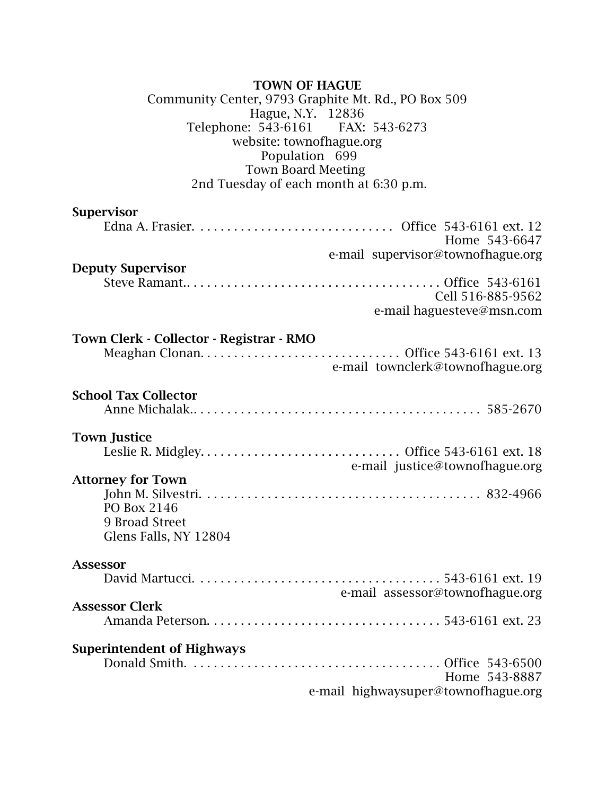## TOWN OF HAGUE

#### Community Center, 9793 Graphite Mt. Rd., PO Box 509 Hague, N.Y. 12836<br>: 543-6161 FAX: 543-6273 Telephone:  $543-6161$ website: townofhague.org Population 699 Town Board Meeting 2nd Tuesday of each month at 6:30 p.m.

## Supervisor

| Home 543-6647<br>e-mail supervisor@townofhague.org                                        |
|-------------------------------------------------------------------------------------------|
| <b>Deputy Supervisor</b><br>Cell 516-885-9562<br>e-mail haguesteve@msn.com                |
| Town Clerk - Collector - Registrar - RMO<br>e-mail townclerk@townofhague.org              |
| <b>School Tax Collector</b>                                                               |
| <b>Town Justice</b><br>e-mail justice@townofhague.org<br><b>Attorney for Town</b>         |
| PO Box 2146<br>9 Broad Street<br>Glens Falls, NY 12804                                    |
| <b>Assessor</b>                                                                           |
| e-mail assessor@townofhague.org<br><b>Assessor Clerk</b>                                  |
| <b>Superintendent of Highways</b><br>Home 543-8887<br>e-mail highwaysuper@townofhague.org |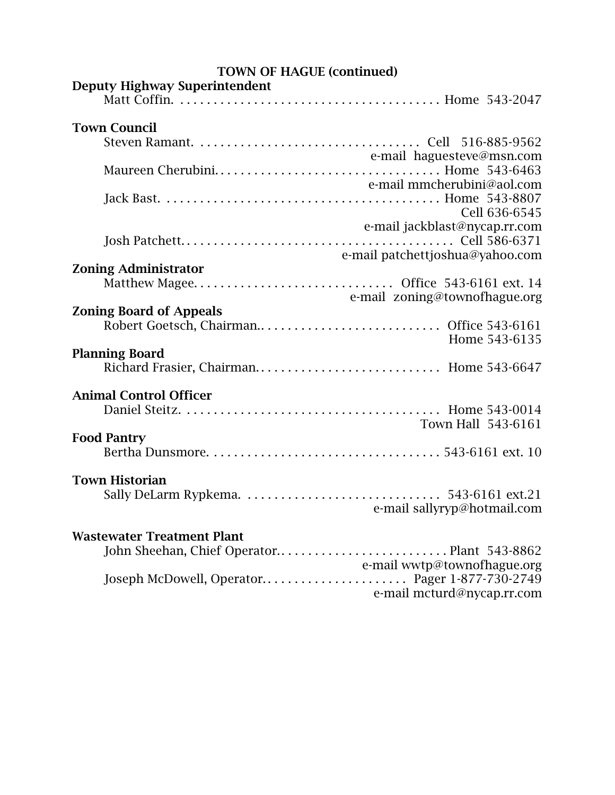| <b>TOWN OF HAGUE (continued)</b>                                                    |                                                           |  |
|-------------------------------------------------------------------------------------|-----------------------------------------------------------|--|
| <b>Deputy Highway Superintendent</b>                                                |                                                           |  |
| <b>Town Council</b>                                                                 |                                                           |  |
|                                                                                     |                                                           |  |
|                                                                                     | e-mail haguesteve@msn.com<br>e-mail mmcherubini@aol.com   |  |
|                                                                                     |                                                           |  |
|                                                                                     | Cell 636-6545<br>e-mail jackblast@nycap.rr.com            |  |
|                                                                                     | e-mail patchettjoshua@yahoo.com                           |  |
| <b>Zoning Administrator</b><br>Matthew Magee Office 543-6161 ext. 14                | e-mail zoning@townofhague.org                             |  |
| <b>Zoning Board of Appeals</b>                                                      |                                                           |  |
|                                                                                     | Home 543-6135                                             |  |
| <b>Planning Board</b><br>Richard Frasier, Chairman Home 543-6647                    |                                                           |  |
| <b>Animal Control Officer</b>                                                       | Town Hall 543-6161                                        |  |
| <b>Food Pantry</b>                                                                  |                                                           |  |
| <b>Town Historian</b>                                                               | e-mail sallyryp@hotmail.com                               |  |
| <b>Wastewater Treatment Plant</b><br>Joseph McDowell, Operator Pager 1-877-730-2749 | e-mail wwtp@townofhague.org<br>e-mail mcturd@nycap.rr.com |  |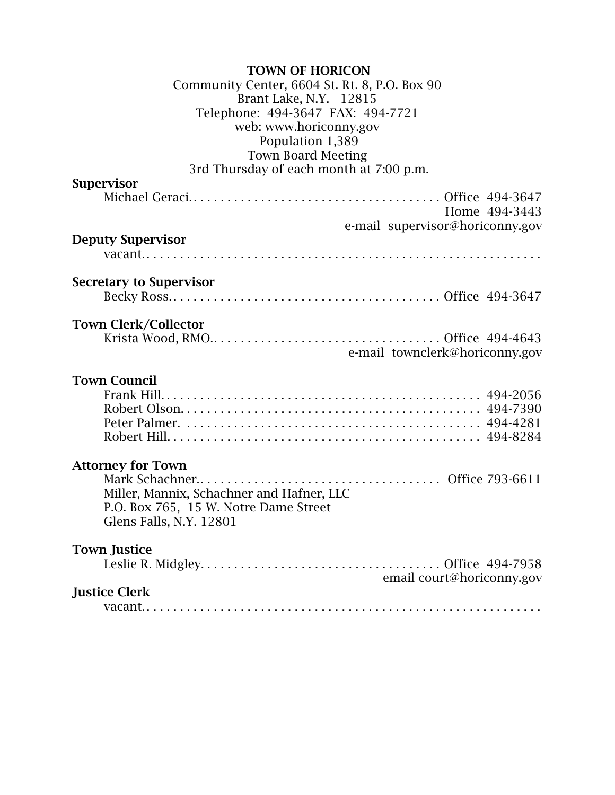| <b>TOWN OF HORICON</b>                        |  |
|-----------------------------------------------|--|
| Community Center, 6604 St. Rt. 8, P.O. Box 90 |  |
| Brant Lake, N.Y. 12815                        |  |
| Telephone: 494-3647 FAX: 494-7721             |  |
| web: www.horiconny.gov                        |  |
| Population 1,389                              |  |
| <b>Town Board Meeting</b>                     |  |
| 3rd Thursday of each month at 7:00 p.m.       |  |
| <b>Supervisor</b>                             |  |
|                                               |  |
| Home 494-3443                                 |  |
| e-mail supervisor@horiconny.gov               |  |
| <b>Deputy Supervisor</b>                      |  |
|                                               |  |
|                                               |  |
| <b>Secretary to Supervisor</b>                |  |
|                                               |  |
|                                               |  |
| <b>Town Clerk/Collector</b>                   |  |
|                                               |  |
| e-mail townclerk@horiconny.gov                |  |
|                                               |  |
| <b>Town Council</b>                           |  |
|                                               |  |
|                                               |  |
|                                               |  |
|                                               |  |
|                                               |  |
| <b>Attorney for Town</b>                      |  |
|                                               |  |
| Miller, Mannix, Schachner and Hafner, LLC     |  |
| P.O. Box 765, 15 W. Notre Dame Street         |  |
| Glens Falls, N.Y. 12801                       |  |
| <b>Town Justice</b>                           |  |
|                                               |  |
| email court@horiconny.gov                     |  |
| <b>Justice Clerk</b>                          |  |
|                                               |  |
|                                               |  |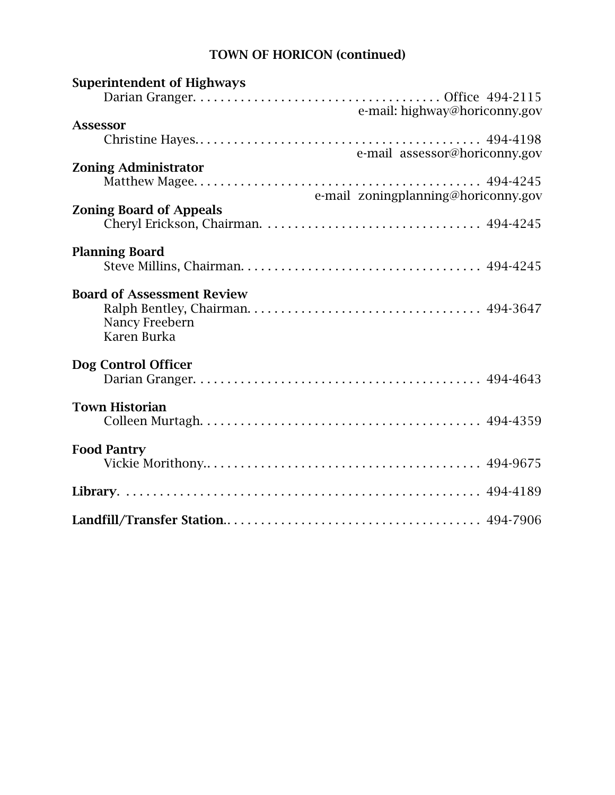# TOWN OF HORICON (continued)

| <b>Superintendent of Highways</b>                                  |  |
|--------------------------------------------------------------------|--|
| e-mail: highway@horiconny.gov                                      |  |
| <b>Assessor</b>                                                    |  |
| e-mail assessor@horiconny.gov                                      |  |
| <b>Zoning Administrator</b>                                        |  |
|                                                                    |  |
| e-mail zoningplanning@horiconny.gov                                |  |
| <b>Zoning Board of Appeals</b>                                     |  |
| <b>Planning Board</b>                                              |  |
|                                                                    |  |
| <b>Board of Assessment Review</b><br>Nancy Freebern<br>Karen Burka |  |
| Dog Control Officer                                                |  |
|                                                                    |  |
| <b>Town Historian</b>                                              |  |
|                                                                    |  |
| <b>Food Pantry</b>                                                 |  |
|                                                                    |  |
|                                                                    |  |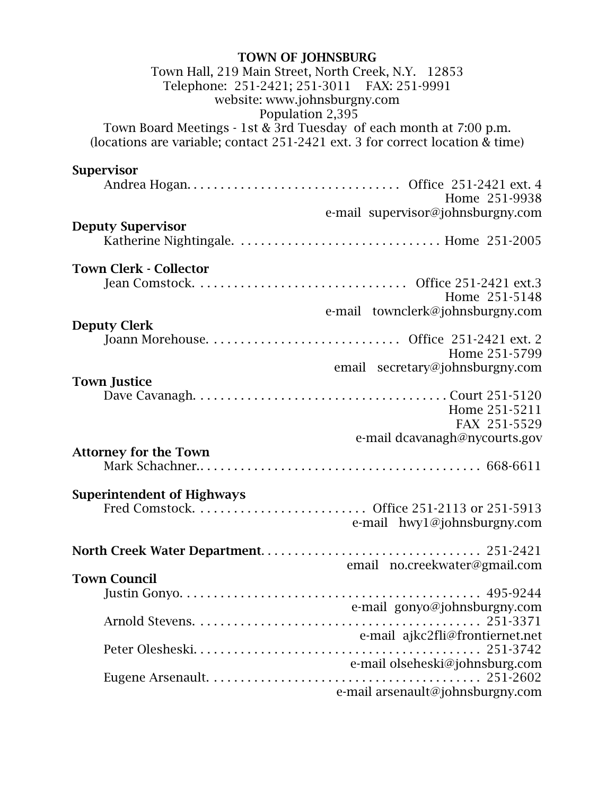| <b>TOWN OF JOHNSBURG</b>                                                      |
|-------------------------------------------------------------------------------|
| Town Hall, 219 Main Street, North Creek, N.Y. 12853                           |
| Telephone: 251-2421; 251-3011 FAX: 251-9991                                   |
| website: www.johnsburgny.com                                                  |
| Population 2,395                                                              |
| Town Board Meetings - 1st & 3rd Tuesday of each month at 7:00 p.m.            |
| (locations are variable; contact 251-2421 ext. 3 for correct location & time) |
|                                                                               |
| <b>Supervisor</b>                                                             |
|                                                                               |
| Home 251-9938                                                                 |
| e-mail supervisor@johnsburgny.com                                             |
| <b>Deputy Supervisor</b>                                                      |
|                                                                               |
|                                                                               |
| <b>Town Clerk - Collector</b>                                                 |
|                                                                               |
| Home 251-5148                                                                 |
| e-mail townclerk@johnsburgny.com                                              |
| <b>Deputy Clerk</b>                                                           |
|                                                                               |
| Home 251-5799                                                                 |
| email secretary@johnsburgny.com                                               |
| <b>Town Justice</b>                                                           |
|                                                                               |
| Home 251-5211                                                                 |
| FAX 251-5529                                                                  |
| e-mail dcavanagh@nycourts.gov                                                 |
| <b>Attorney for the Town</b>                                                  |
|                                                                               |
|                                                                               |
| <b>Superintendent of Highways</b>                                             |
|                                                                               |
| e-mail hwy1@johnsburgny.com                                                   |
|                                                                               |
| email no.creekwater@gmail.com                                                 |
| <b>Town Council</b>                                                           |
|                                                                               |
| e-mail gonyo@johnsburgny.com                                                  |
|                                                                               |
| e-mail ajkc2fli@frontiernet.net                                               |
|                                                                               |
| e-mail olseheski@johnsburg.com                                                |
|                                                                               |
| e-mail arsenault@johnsburgny.com                                              |
|                                                                               |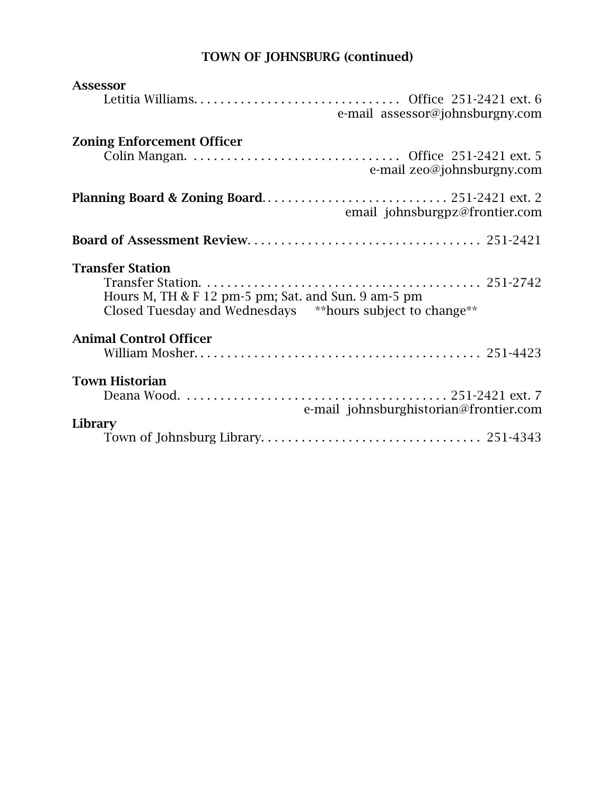# TOWN OF JOHNSBURG (continued)

| <b>Assessor</b>                                                                                                                              |
|----------------------------------------------------------------------------------------------------------------------------------------------|
| e-mail assessor@johnsburgny.com                                                                                                              |
| <b>Zoning Enforcement Officer</b><br>e-mail zeo@johnsburgny.com                                                                              |
| email johnsburgpz@frontier.com                                                                                                               |
|                                                                                                                                              |
| <b>Transfer Station</b><br>Hours M, TH & F 12 pm-5 pm; Sat. and Sun. 9 am-5 pm<br>Closed Tuesday and Wednesdays ** hours subject to change** |
| <b>Animal Control Officer</b>                                                                                                                |
| <b>Town Historian</b>                                                                                                                        |
| e-mail johnsburghistorian@frontier.com                                                                                                       |
| Library                                                                                                                                      |
|                                                                                                                                              |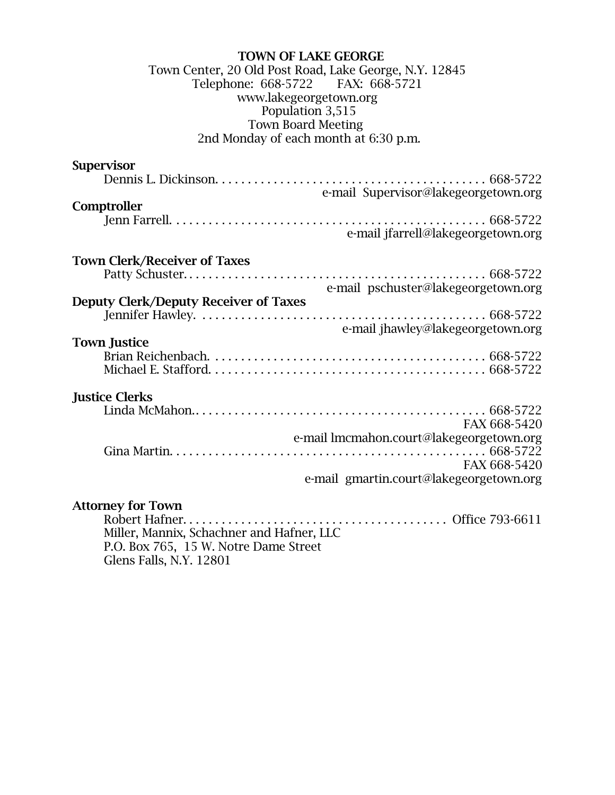#### TOWN OF LAKE GEORGE Town Center, 20 Old Post Road, Lake George, N.Y. 12845 Telephone: 668-5722 FAX: 668-5721 www.lakegeorgetown.org Population 3,515 Town Board Meeting 2nd Monday of each month at 6:30 p.m.

| <b>Supervisor</b>                         |
|-------------------------------------------|
|                                           |
| e-mail Supervisor@lakegeorgetown.org      |
| Comptroller                               |
|                                           |
| e-mail jfarrell@lakegeorgetown.org        |
|                                           |
| <b>Town Clerk/Receiver of Taxes</b>       |
|                                           |
| e-mail pschuster@lakegeorgetown.org       |
| Deputy Clerk/Deputy Receiver of Taxes     |
|                                           |
| e-mail jhawley@lakegeorgetown.org         |
| <b>Town Justice</b>                       |
|                                           |
|                                           |
| <b>Justice Clerks</b>                     |
|                                           |
| FAX 668-5420                              |
| e-mail lmcmahon.court@lakegeorgetown.org  |
|                                           |
| FAX 668-5420                              |
| e-mail gmartin.court@lakegeorgetown.org   |
|                                           |
| <b>Attorney for Town</b>                  |
|                                           |
| Miller, Mannix, Schachner and Hafner, LLC |
|                                           |

P.O. Box 765, 15 W. Notre Dame Street Glens Falls, N.Y. 12801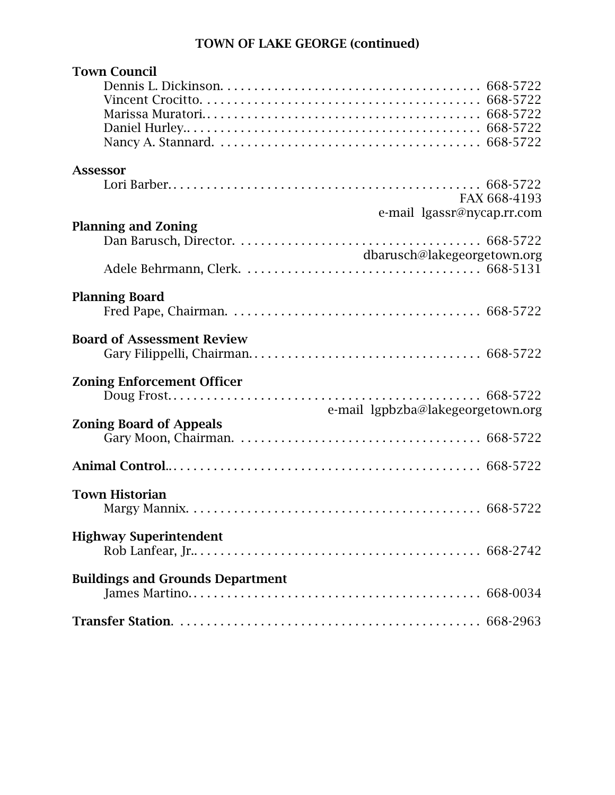# TOWN OF LAKE GEORGE (continued)

| <b>Town Council</b>                     |                                 |
|-----------------------------------------|---------------------------------|
|                                         |                                 |
|                                         |                                 |
|                                         |                                 |
|                                         |                                 |
|                                         |                                 |
| <b>Assessor</b>                         |                                 |
|                                         |                                 |
|                                         | FAX 668-4193                    |
| e-mail lgassr@nycap.rr.com              |                                 |
| <b>Planning and Zoning</b>              |                                 |
|                                         |                                 |
| dbarusch@lakegeorgetown.org             |                                 |
|                                         |                                 |
| <b>Planning Board</b>                   |                                 |
|                                         |                                 |
|                                         |                                 |
| <b>Board of Assessment Review</b>       |                                 |
|                                         |                                 |
| <b>Zoning Enforcement Officer</b>       |                                 |
| Doug Frost                              | $\ldots \ldots \ldots 668-5722$ |
| e-mail lgpbzba@lakegeorgetown.org       |                                 |
| <b>Zoning Board of Appeals</b>          |                                 |
|                                         |                                 |
|                                         |                                 |
|                                         |                                 |
|                                         |                                 |
| <b>Town Historian</b>                   |                                 |
|                                         |                                 |
| <b>Highway Superintendent</b>           |                                 |
|                                         |                                 |
|                                         |                                 |
| <b>Buildings and Grounds Department</b> |                                 |
|                                         |                                 |
|                                         |                                 |
|                                         |                                 |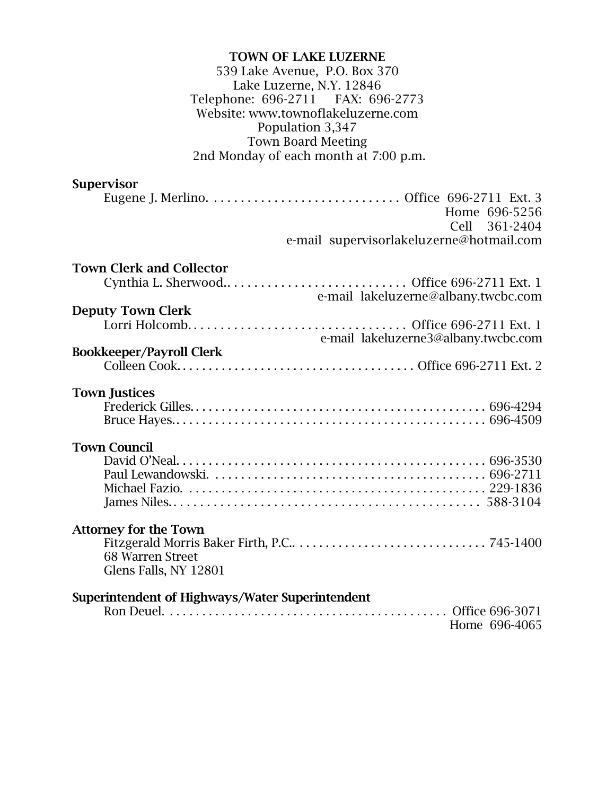### TOWN OF LAKE LUZERNE 539 Lake Avenue, P.O. Box 370 Lake Luzerne, N.Y. 12846 Telephone: 696-2711 FAX: 696-2773 Website: www.townoflakeluzerne.com Population 3,347 Town Board Meeting 2nd Monday of each month at 7:00 p.m.

## **Supervisor**

| Home 696-5256                                   |
|-------------------------------------------------|
| Cell 361-2404                                   |
| e-mail supervisorlakeluzerne@hotmail.com        |
|                                                 |
| <b>Town Clerk and Collector</b>                 |
|                                                 |
| e-mail lakeluzerne@albany.twcbc.com             |
| <b>Deputy Town Clerk</b>                        |
|                                                 |
|                                                 |
| e-mail lakeluzerne3@albany.twcbc.com            |
| <b>Bookkeeper/Payroll Clerk</b>                 |
|                                                 |
|                                                 |
| <b>Town Justices</b>                            |
|                                                 |
|                                                 |
|                                                 |
| <b>Town Council</b>                             |
|                                                 |
|                                                 |
|                                                 |
|                                                 |
|                                                 |
|                                                 |
| <b>Attorney for the Town</b>                    |
|                                                 |
| 68 Warren Street                                |
| Glens Falls, NY 12801                           |
|                                                 |
| Superintendent of Highways/Water Superintendent |
|                                                 |
| Home 696-4065                                   |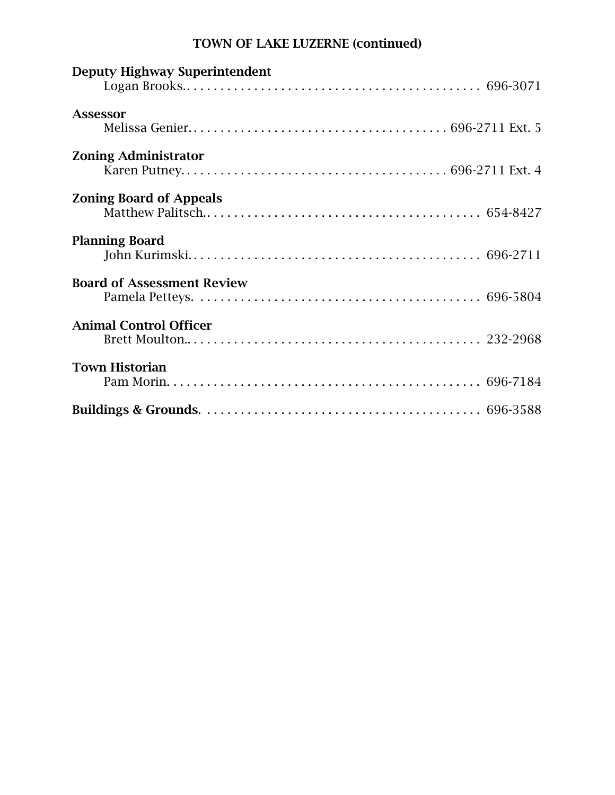# TOWN OF LAKE LUZERNE (continued)

| <b>Deputy Highway Superintendent</b> |  |
|--------------------------------------|--|
| <b>Assessor</b>                      |  |
| <b>Zoning Administrator</b>          |  |
| <b>Zoning Board of Appeals</b>       |  |
| <b>Planning Board</b>                |  |
| <b>Board of Assessment Review</b>    |  |
| <b>Animal Control Officer</b>        |  |
| <b>Town Historian</b>                |  |
|                                      |  |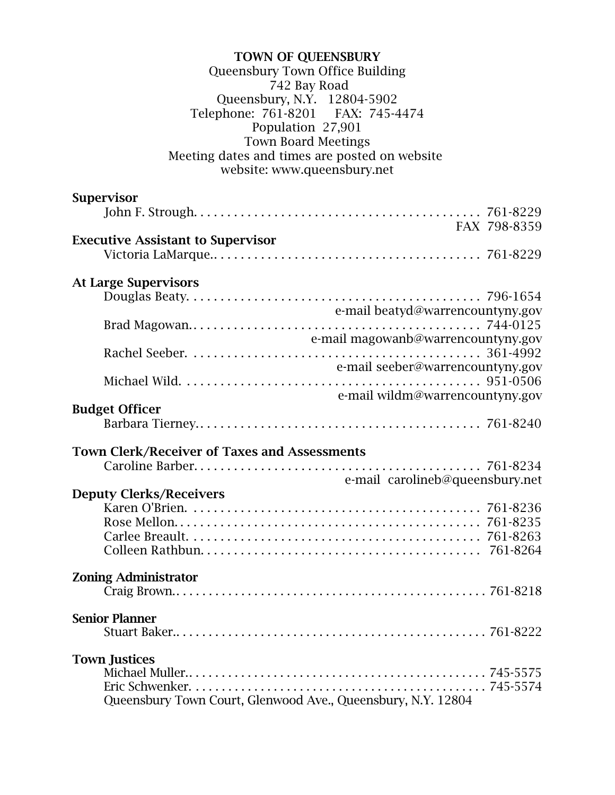| <b>TOWN OF QUEENSBURY</b>                                    |  |
|--------------------------------------------------------------|--|
| Queensbury Town Office Building                              |  |
| 742 Bay Road                                                 |  |
| Queensbury, N.Y. 12804-5902                                  |  |
| Telephone: 761-8201 FAX: 745-4474                            |  |
| Population 27,901                                            |  |
| <b>Town Board Meetings</b>                                   |  |
| Meeting dates and times are posted on website                |  |
| website: www.queensbury.net                                  |  |
|                                                              |  |
| <b>Supervisor</b>                                            |  |
|                                                              |  |
| FAX 798-8359                                                 |  |
|                                                              |  |
| <b>Executive Assistant to Supervisor</b>                     |  |
|                                                              |  |
|                                                              |  |
| <b>At Large Supervisors</b>                                  |  |
|                                                              |  |
| e-mail beatyd@warrencountyny.gov                             |  |
|                                                              |  |
| e-mail magowanb@warrencountyny.gov                           |  |
|                                                              |  |
| e-mail seeber@warrencountyny.gov                             |  |
|                                                              |  |
| e-mail wildm@warrencountyny.gov                              |  |
| <b>Budget Officer</b>                                        |  |
|                                                              |  |
|                                                              |  |
| <b>Town Clerk/Receiver of Taxes and Assessments</b>          |  |
|                                                              |  |
| e-mail carolineb@queensbury.net                              |  |
| <b>Deputy Clerks/Receivers</b>                               |  |
|                                                              |  |
|                                                              |  |
|                                                              |  |
|                                                              |  |
|                                                              |  |
|                                                              |  |
| <b>Zoning Administrator</b>                                  |  |
|                                                              |  |
|                                                              |  |
| <b>Senior Planner</b>                                        |  |
|                                                              |  |
|                                                              |  |
| <b>Town Justices</b>                                         |  |
|                                                              |  |
|                                                              |  |
| Queensbury Town Court, Glenwood Ave., Queensbury, N.Y. 12804 |  |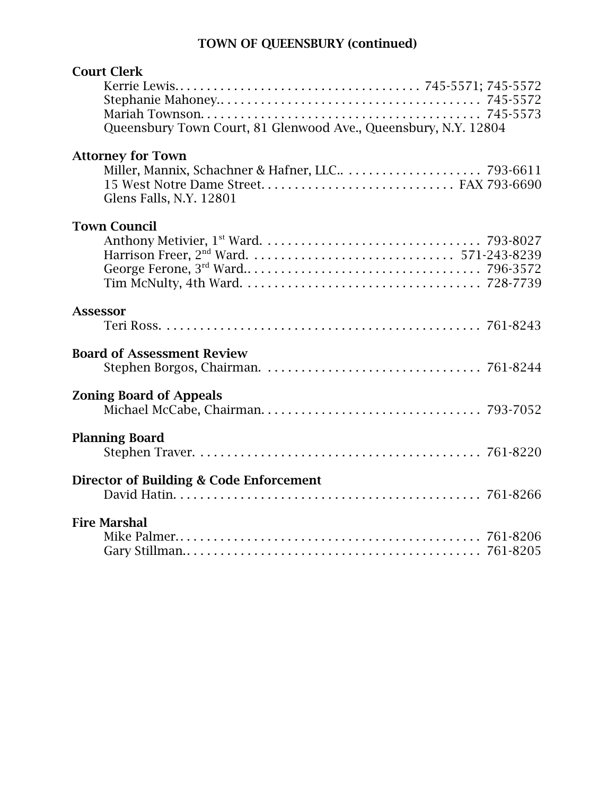# TOWN OF QUEENSBURY (continued)

| <b>Court Clerk</b>                                              |  |
|-----------------------------------------------------------------|--|
|                                                                 |  |
| Queensbury Town Court, 81 Glenwood Ave., Queensbury, N.Y. 12804 |  |
| <b>Attorney for Town</b><br>Glens Falls, N.Y. 12801             |  |
| <b>Town Council</b>                                             |  |
|                                                                 |  |
| <b>Assessor</b>                                                 |  |
|                                                                 |  |
| <b>Board of Assessment Review</b>                               |  |
| <b>Zoning Board of Appeals</b>                                  |  |
|                                                                 |  |
| <b>Planning Board</b>                                           |  |
|                                                                 |  |
| Director of Building & Code Enforcement                         |  |
|                                                                 |  |
| <b>Fire Marshal</b>                                             |  |
|                                                                 |  |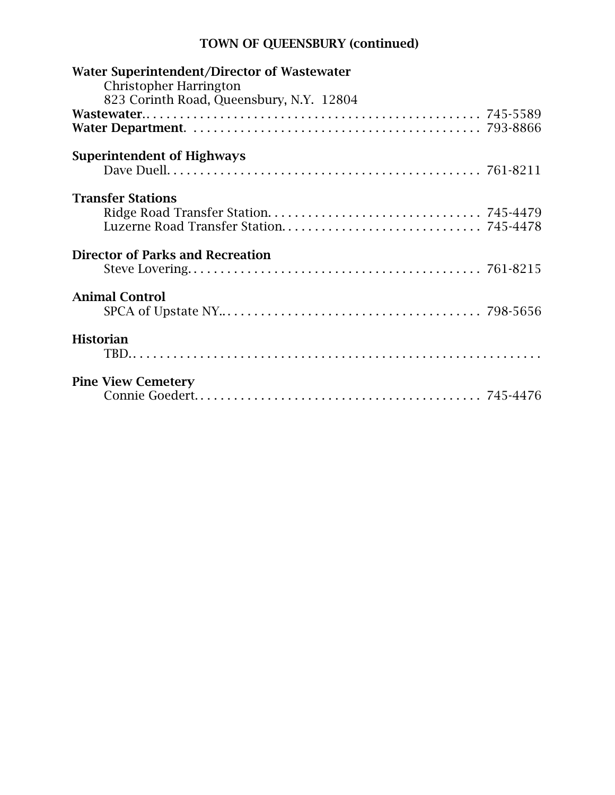# TOWN OF QUEENSBURY (continued)

| Water Superintendent/Director of Wastewater<br><b>Christopher Harrington</b> |  |
|------------------------------------------------------------------------------|--|
| 823 Corinth Road, Queensbury, N.Y. 12804                                     |  |
|                                                                              |  |
|                                                                              |  |
| <b>Superintendent of Highways</b>                                            |  |
|                                                                              |  |
| <b>Transfer Stations</b>                                                     |  |
|                                                                              |  |
|                                                                              |  |
| <b>Director of Parks and Recreation</b>                                      |  |
|                                                                              |  |
| <b>Animal Control</b>                                                        |  |
|                                                                              |  |
| <b>Historian</b>                                                             |  |
|                                                                              |  |
| <b>Pine View Cemetery</b>                                                    |  |
|                                                                              |  |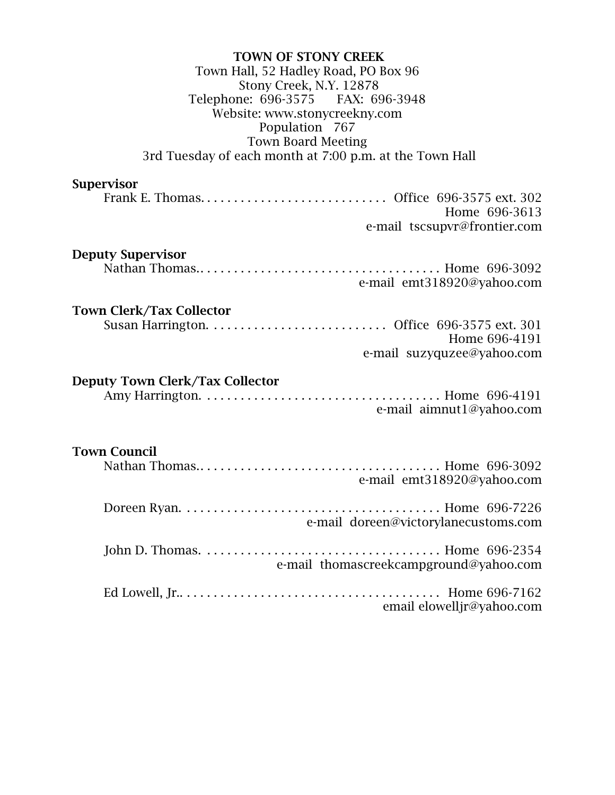### TOWN OF STONY CREEK Town Hall, 52 Hadley Road, PO Box 96 Stony Creek, N.Y. 12878 Telephone: 696-3575 FAX: 696-3948 Website: www.stonycreekny.com Population 767 Town Board Meeting 3rd Tuesday of each month at 7:00 p.m. at the Town Hall

### Supervisor

|  | Home 696-3613                |  |
|--|------------------------------|--|
|  | e-mail tscsupyr@frontier.com |  |

#### Deputy Supervisor

|  | e-mail emt318920@yahoo.com |  |
|--|----------------------------|--|

## Town Clerk/Tax Collector

|  | Home 696-4191              |  |
|--|----------------------------|--|
|  | e-mail suzyquzee@yahoo.com |  |

## Deputy Town Clerk/Tax Collector

|  |  | e-mail aimnut1@yahoo.com |  |
|--|--|--------------------------|--|

#### Town Council

| e-mail emt318920@yahoo.com             |  |
|----------------------------------------|--|
| e-mail doreen@victorylanecustoms.com   |  |
| e-mail thomascreekcampground@yahoo.com |  |
| email elowelljr@yahoo.com              |  |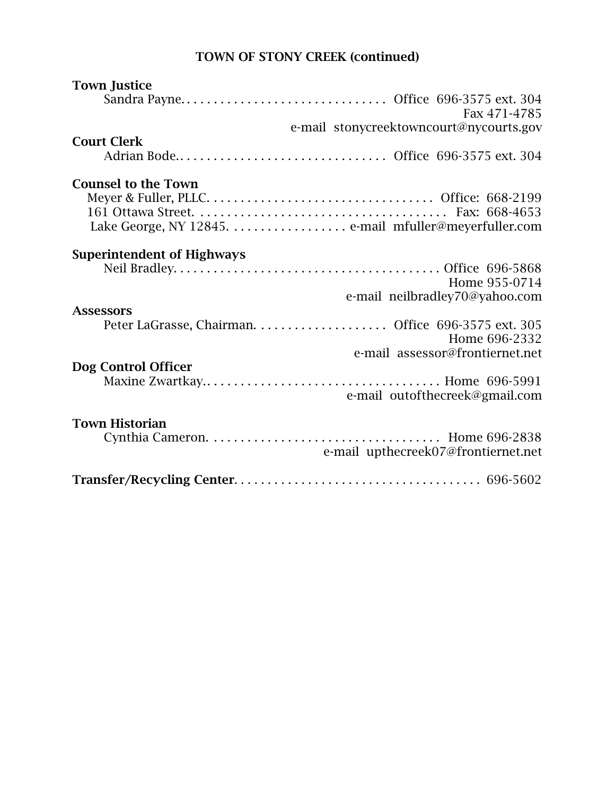# TOWN OF STONY CREEK (continued)

| <b>Town Justice</b>               |                                         |
|-----------------------------------|-----------------------------------------|
|                                   |                                         |
|                                   | Fax 471-4785                            |
|                                   | e-mail stonycreektowncourt@nycourts.gov |
| <b>Court Clerk</b>                |                                         |
|                                   |                                         |
| <b>Counsel to the Town</b>        |                                         |
|                                   |                                         |
|                                   |                                         |
|                                   |                                         |
|                                   |                                         |
| <b>Superintendent of Highways</b> |                                         |
|                                   |                                         |
|                                   | Home 955-0714                           |
|                                   | e-mail neilbradley70@yahoo.com          |
| <b>Assessors</b>                  |                                         |
|                                   | Home 696-2332                           |
|                                   | e-mail assessor@frontiernet.net         |
| Dog Control Officer               |                                         |
|                                   |                                         |
|                                   | e-mail outofthecreek@gmail.com          |
|                                   |                                         |
| <b>Town Historian</b>             |                                         |
|                                   |                                         |
|                                   | e-mail upthecreek07@frontiernet.net     |
|                                   |                                         |
|                                   |                                         |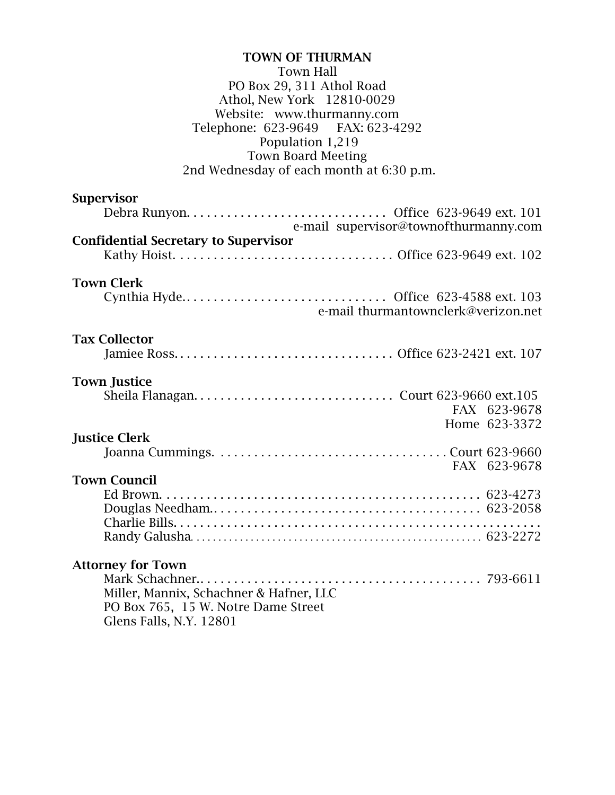### TOWN OF THURMAN Town Hall PO Box 29, 311 Athol Road Athol, New York 12810-0029 Website: www.thurmanny.com<br>ephone: 623-9649 FAX: 623-4292 Telephone: 623-9649 Population 1,219 Town Board Meeting 2nd Wednesday of each month at 6:30 p.m.

| <b>Supervisor</b>                           |
|---------------------------------------------|
|                                             |
| e-mail supervisor@townofthurmanny.com       |
| <b>Confidential Secretary to Supervisor</b> |
|                                             |
| <b>Town Clerk</b>                           |
| Cynthia Hyde Office 623-4588 ext. 103       |
| e-mail thurmantownclerk@verizon.net         |
| <b>Tax Collector</b>                        |
|                                             |
| <b>Town Justice</b>                         |
|                                             |
| FAX 623-9678                                |
| Home 623-3372                               |
| <b>Justice Clerk</b>                        |
|                                             |
| FAX 623-9678                                |
| <b>Town Council</b>                         |
|                                             |
|                                             |
|                                             |
|                                             |
| <b>Attorney for Town</b>                    |
|                                             |
| Miller, Mannix, Schachner & Hafner, LLC     |
| PO Box 765, 15 W. Notre Dame Street         |

Glens Falls, N.Y. 12801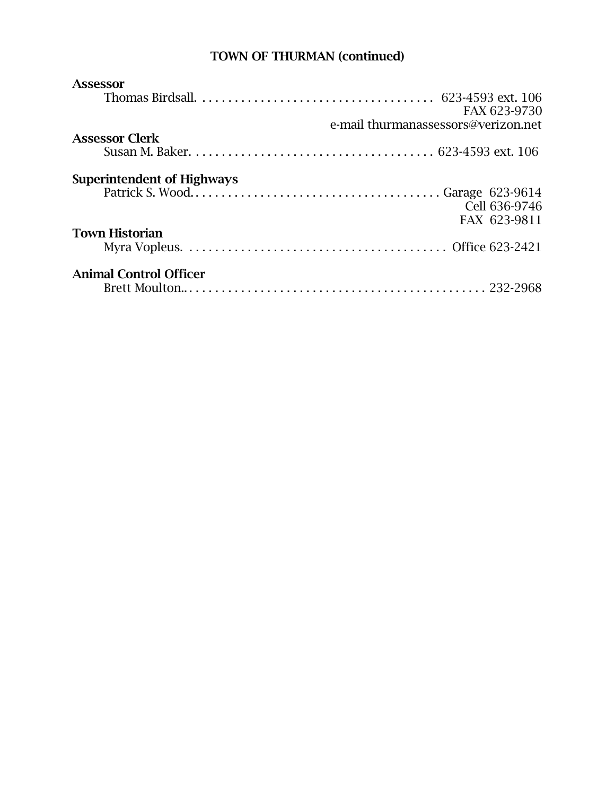## TOWN OF THURMAN (continued)

| <b>Assessor</b>                   |                                     |
|-----------------------------------|-------------------------------------|
|                                   |                                     |
|                                   | FAX 623-9730                        |
|                                   | e-mail thurmanassessors@verizon.net |
| <b>Assessor Clerk</b>             |                                     |
|                                   |                                     |
| <b>Superintendent of Highways</b> |                                     |
|                                   |                                     |
|                                   | Cell 636-9746                       |
|                                   | FAX 623-9811                        |
| <b>Town Historian</b>             |                                     |
|                                   |                                     |
| <b>Animal Control Officer</b>     |                                     |
|                                   |                                     |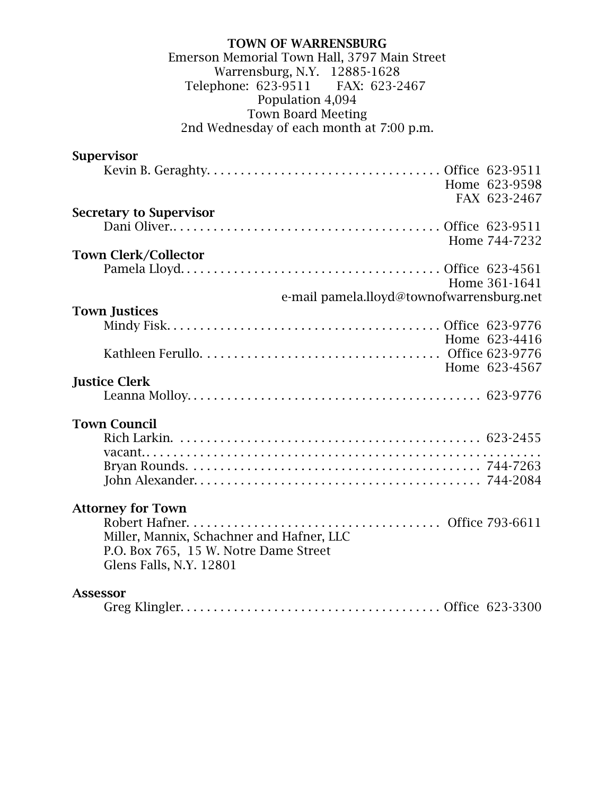#### TOWN OF WARRENSBURG Emerson Memorial Town Hall, 3797 Main Street Warrensburg, N.Y. 12885-1628<br>phone: 623-9511 FAX: 623-2467 Telephone: 623-9511 Population 4,094 Town Board Meeting 2nd Wednesday of each month at 7:00 p.m.

| <b>Supervisor</b>                         |               |
|-------------------------------------------|---------------|
|                                           |               |
|                                           | Home 623-9598 |
|                                           | FAX 623-2467  |
| <b>Secretary to Supervisor</b>            |               |
|                                           |               |
|                                           | Home 744-7232 |
| <b>Town Clerk/Collector</b>               |               |
|                                           |               |
|                                           | Home 361-1641 |
| e-mail pamela.lloyd@townofwarrensburg.net |               |
| <b>Town Justices</b>                      |               |
|                                           |               |
|                                           | Home 623-4416 |
|                                           |               |
|                                           | Home 623-4567 |
| <b>Justice Clerk</b>                      |               |
|                                           |               |
| <b>Town Council</b>                       |               |
|                                           |               |
|                                           |               |
|                                           |               |
|                                           |               |
|                                           |               |
| <b>Attorney for Town</b>                  |               |
|                                           |               |
| Miller, Mannix, Schachner and Hafner, LLC |               |
| P.O. Box 765, 15 W. Notre Dame Street     |               |
| Glens Falls, N.Y. 12801                   |               |
|                                           |               |
| <b>Assessor</b>                           |               |
|                                           |               |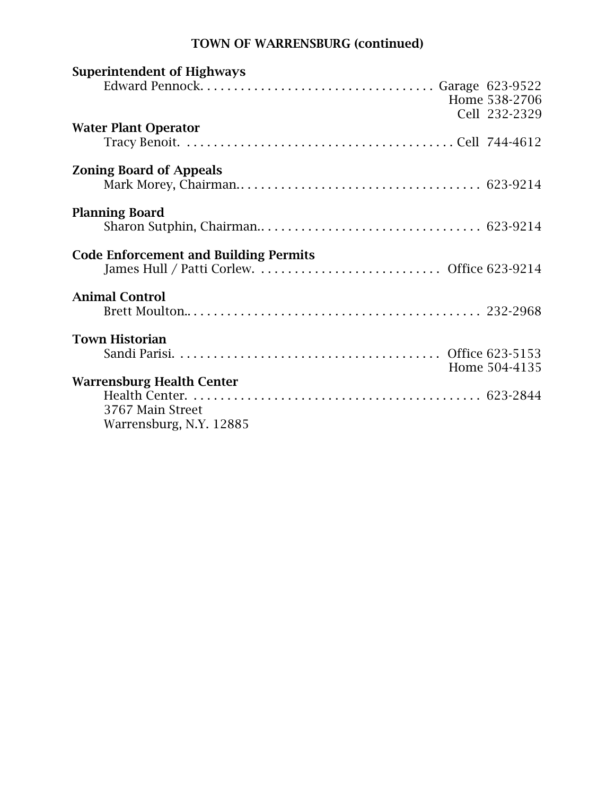# TOWN OF WARRENSBURG (continued)

| <b>Superintendent of Highways</b>            |               |
|----------------------------------------------|---------------|
|                                              |               |
|                                              | Home 538-2706 |
|                                              | Cell 232-2329 |
| <b>Water Plant Operator</b>                  |               |
|                                              |               |
| <b>Zoning Board of Appeals</b>               |               |
|                                              |               |
|                                              |               |
| <b>Planning Board</b>                        |               |
|                                              |               |
|                                              |               |
| <b>Code Enforcement and Building Permits</b> |               |
|                                              |               |
|                                              |               |
| <b>Animal Control</b>                        |               |
|                                              |               |
|                                              |               |
|                                              |               |
| <b>Town Historian</b>                        |               |
|                                              |               |
|                                              | Home 504-4135 |
| <b>Warrensburg Health Center</b>             |               |
|                                              |               |
| 3767 Main Street                             |               |
| Warrensburg, N.Y. 12885                      |               |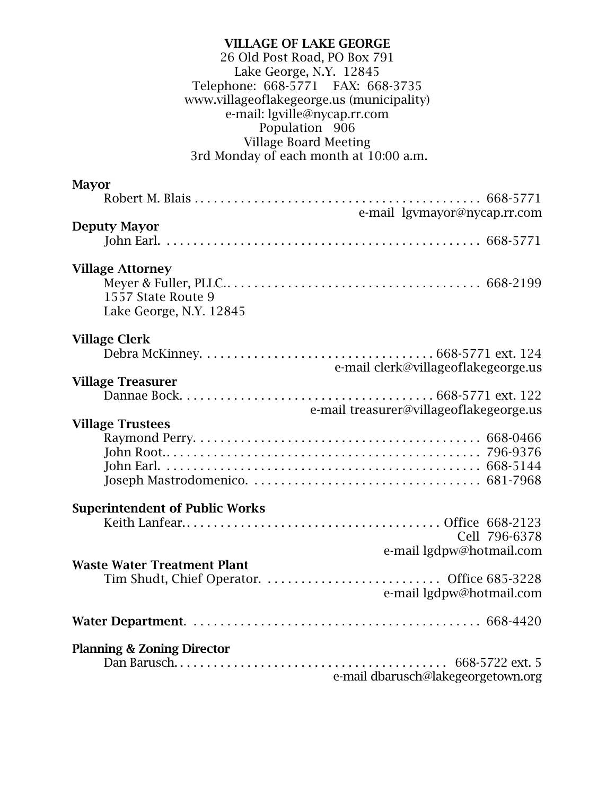#### VILLAGE OF LAKE GEORGE 26 Old Post Road, PO Box 791 Lake George, N.Y. 12845 Telephone: 668-5771 FAX: 668-3735 www.villageoflakegeorge.us (municipality) e-mail: lgville@nycap.rr.com Population 906 Village Board Meeting 3rd Monday of each month at 10:00 a.m.

| <b>Mayor</b>                          |                                         |
|---------------------------------------|-----------------------------------------|
|                                       |                                         |
|                                       | e-mail lgymayor@nycap.rr.com            |
| <b>Deputy Mayor</b>                   |                                         |
|                                       |                                         |
|                                       |                                         |
| <b>Village Attorney</b>               |                                         |
|                                       |                                         |
| 1557 State Route 9                    |                                         |
| Lake George, N.Y. 12845               |                                         |
|                                       |                                         |
| <b>Village Clerk</b>                  |                                         |
|                                       |                                         |
|                                       | e-mail clerk@villageoflakegeorge.us     |
| <b>Village Treasurer</b>              |                                         |
|                                       |                                         |
|                                       | e-mail treasurer@villageoflakegeorge.us |
| <b>Village Trustees</b>               |                                         |
|                                       |                                         |
|                                       |                                         |
|                                       |                                         |
|                                       |                                         |
| <b>Superintendent of Public Works</b> |                                         |
|                                       |                                         |
|                                       | Cell 796-6378                           |
|                                       | e-mail lgdpw@hotmail.com                |
| <b>Waste Water Treatment Plant</b>    |                                         |
|                                       |                                         |
|                                       | e-mail lgdpw@hotmail.com                |
|                                       |                                         |
|                                       |                                         |
|                                       |                                         |
| <b>Planning &amp; Zoning Director</b> |                                         |
|                                       |                                         |
|                                       | e-mail dbarusch@lakegeorgetown.org      |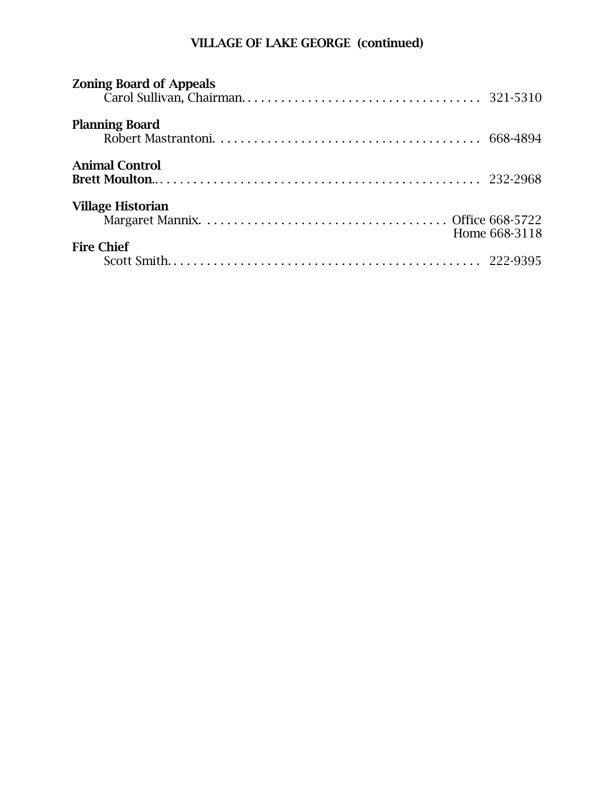# VILLAGE OF LAKE GEORGE (continued)

| <b>Zoning Board of Appeals</b> |               |
|--------------------------------|---------------|
| <b>Planning Board</b>          |               |
| <b>Animal Control</b>          |               |
| <b>Village Historian</b>       | Home 668-3118 |
| <b>Fire Chief</b>              |               |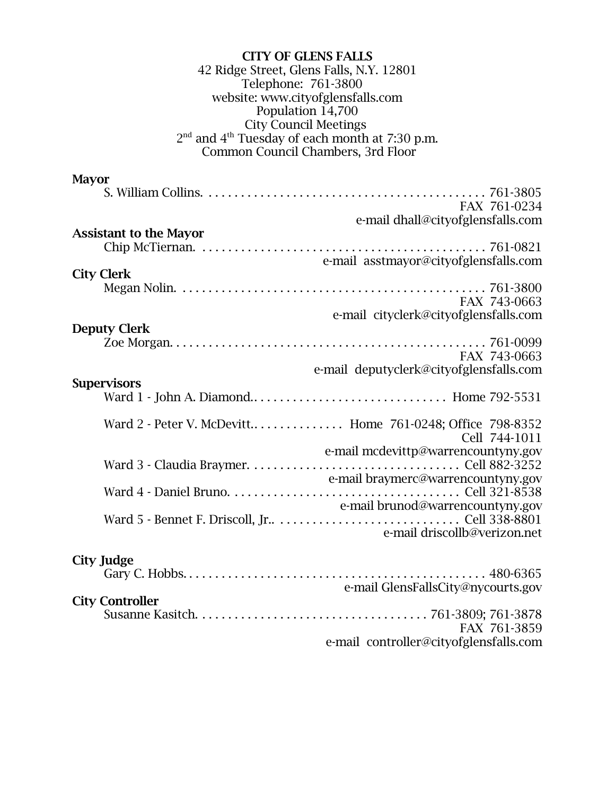| <b>CITY OF GLENS FALLS</b><br>42 Ridge Street, Glens Falls, N.Y. 12801<br>Telephone: 761-3800<br>website: www.cityofglensfalls.com<br>Population 14,700<br><b>City Council Meetings</b><br>$2nd$ and $4th$ Tuesday of each month at 7:30 p.m.<br>Common Council Chambers, 3rd Floor |
|-------------------------------------------------------------------------------------------------------------------------------------------------------------------------------------------------------------------------------------------------------------------------------------|
| <b>Mayor</b><br>FAX 761-0234<br>e-mail dhall@cityofglensfalls.com                                                                                                                                                                                                                   |
| <b>Assistant to the Mayor</b><br>$\ldots \ldots 761-0821$<br>e-mail asstmayor@cityofglensfalls.com<br><b>City Clerk</b>                                                                                                                                                             |
| FAX 743-0663<br>e-mail cityclerk@cityofglensfalls.com<br><b>Deputy Clerk</b>                                                                                                                                                                                                        |
| FAX 743-0663<br>e-mail deputyclerk@cityofglensfalls.com                                                                                                                                                                                                                             |
| <b>Supervisors</b>                                                                                                                                                                                                                                                                  |
| Ward 2 - Peter V. McDevitt Home 761-0248; Office 798-8352<br>Cell 744-1011<br>e-mail mcdevittp@warrencountyny.gov<br>e-mail braymerc@warrencountyny.gov<br>e-mail brunod@warrencountyny.gov<br>e-mail driscollb@verizon.net                                                         |
| <b>City Judge</b><br>e-mail GlensFallsCity@nycourts.gov<br><b>City Controller</b><br>FAX 761-3859                                                                                                                                                                                   |
| e-mail controller@cityofglensfalls.com                                                                                                                                                                                                                                              |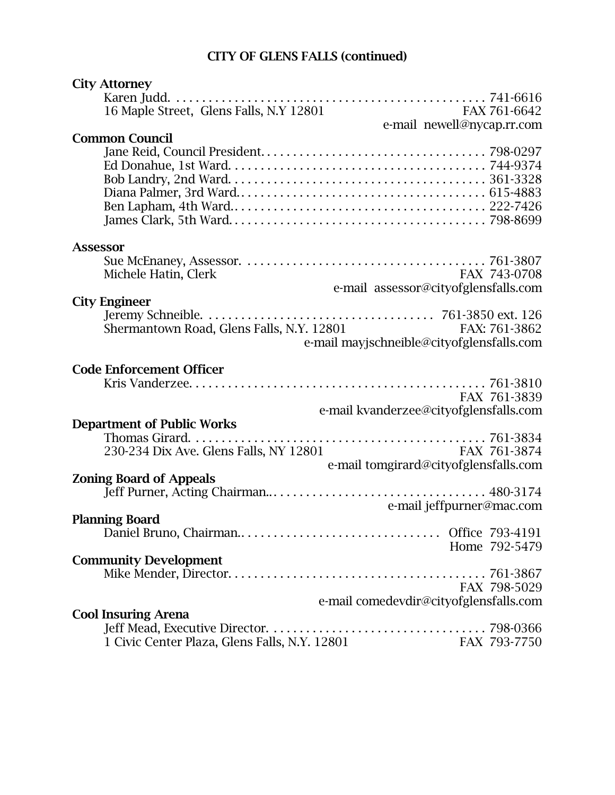# CITY OF GLENS FALLS (continued)

| <b>City Attorney</b>                                                    |  |
|-------------------------------------------------------------------------|--|
|                                                                         |  |
| 16 Maple Street, Glens Falls, N.Y 12801<br>FAX 761-6642                 |  |
| e-mail newell@nycap.rr.com                                              |  |
| <b>Common Council</b>                                                   |  |
|                                                                         |  |
|                                                                         |  |
|                                                                         |  |
|                                                                         |  |
|                                                                         |  |
|                                                                         |  |
| <b>Assessor</b>                                                         |  |
|                                                                         |  |
| Michele Hatin, Clerk<br>FAX 743-0708                                    |  |
| e-mail assessor@cityofglensfalls.com                                    |  |
| <b>City Engineer</b>                                                    |  |
|                                                                         |  |
| Shermantown Road, Glens Falls, N.Y. 12801<br>FAX: 761-3862              |  |
| e-mail may is chneible@city of glensfalls.com                           |  |
|                                                                         |  |
| <b>Code Enforcement Officer</b>                                         |  |
|                                                                         |  |
| FAX 761-3839                                                            |  |
| e-mail kvanderzee@cityofglensfalls.com                                  |  |
| <b>Department of Public Works</b>                                       |  |
|                                                                         |  |
| 230-234 Dix Ave. Glens Falls, NY 12801<br>FAX 761-3874                  |  |
| e-mail tomgirard@cityofglensfalls.com<br><b>Zoning Board of Appeals</b> |  |
|                                                                         |  |
| e-mail jeffpurner@mac.com                                               |  |
| <b>Planning Board</b>                                                   |  |
|                                                                         |  |
| Home 792-5479                                                           |  |
| <b>Community Development</b>                                            |  |
|                                                                         |  |
| FAX 798-5029                                                            |  |
| e-mail comedevdir@cityofglensfalls.com                                  |  |
| <b>Cool Insuring Arena</b>                                              |  |
|                                                                         |  |
| 1 Civic Center Plaza, Glens Falls, N.Y. 12801<br>FAX 793-7750           |  |